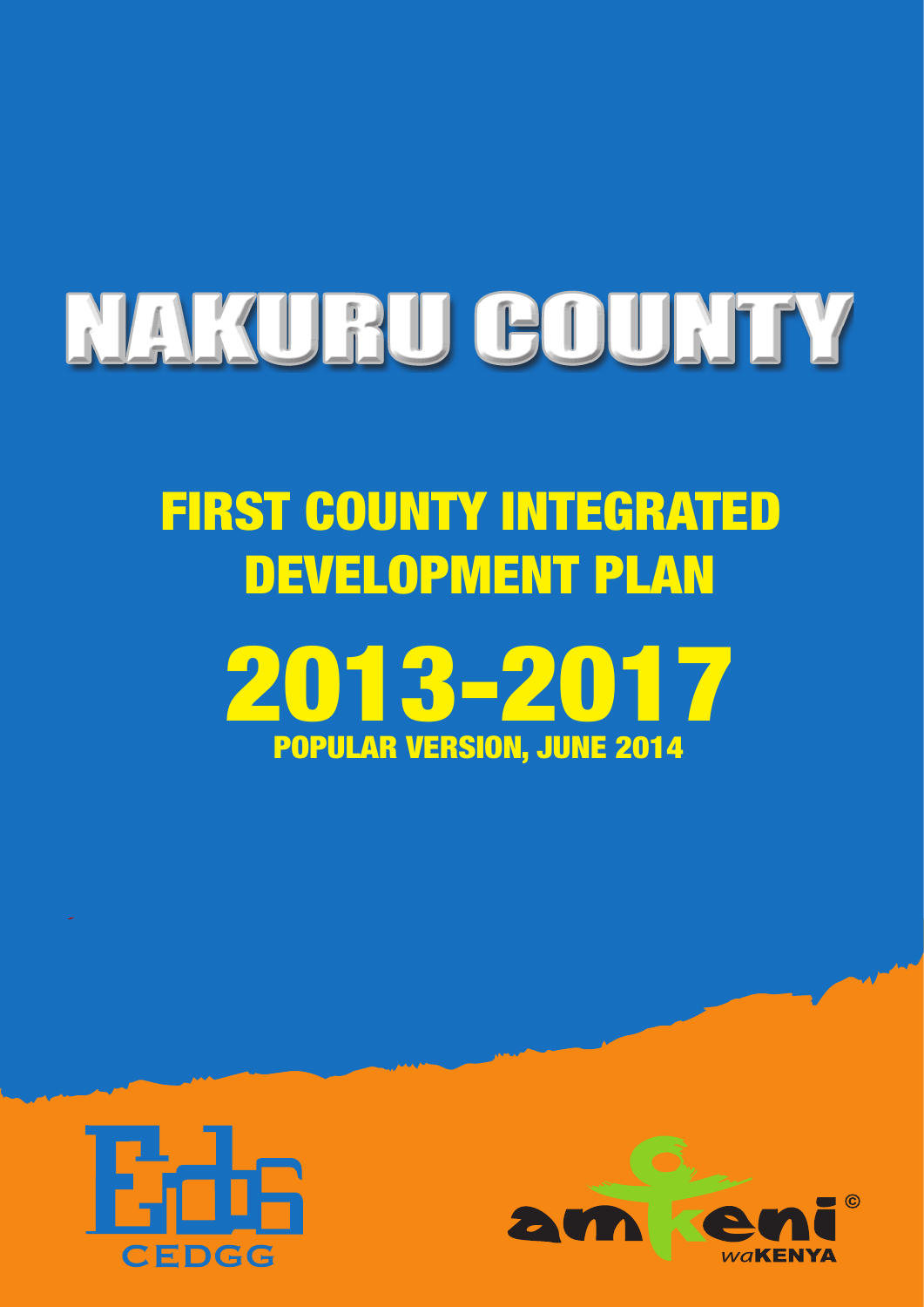# NAKURU COUNTY

## FIRST COUNTY INTEGRATED DEVELOPMENT PLAN

## 2013-2017 POPULAR VERSION, JUNE 2014



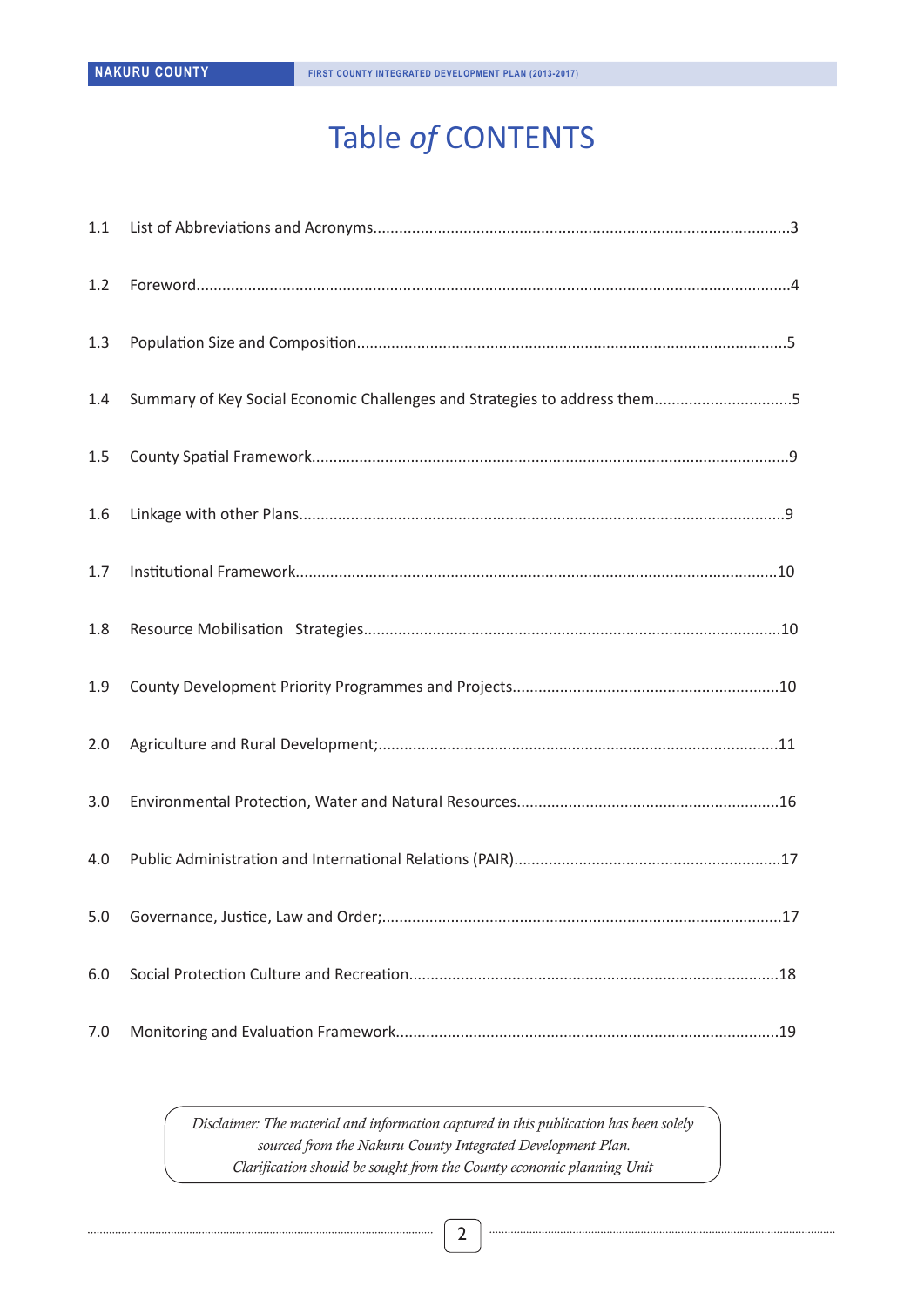.........................

## Table *of* CONTENTS

| 1.1 |                                                                           |
|-----|---------------------------------------------------------------------------|
| 1.2 |                                                                           |
| 1.3 |                                                                           |
| 1.4 | Summary of Key Social Economic Challenges and Strategies to address them5 |
| 1.5 |                                                                           |
| 1.6 |                                                                           |
| 1.7 |                                                                           |
| 1.8 |                                                                           |
| 1.9 |                                                                           |
| 2.0 |                                                                           |
| 3.0 |                                                                           |
| 4.0 |                                                                           |
| 5.0 |                                                                           |
| 6.0 |                                                                           |
| 7.0 |                                                                           |

*Disclaimer: The material and information captured in this publication has been solely sourced from the Nakuru County Integrated Development Plan. Clarification should be sought from the County economic planning Unit*

. . . . . . . . . . .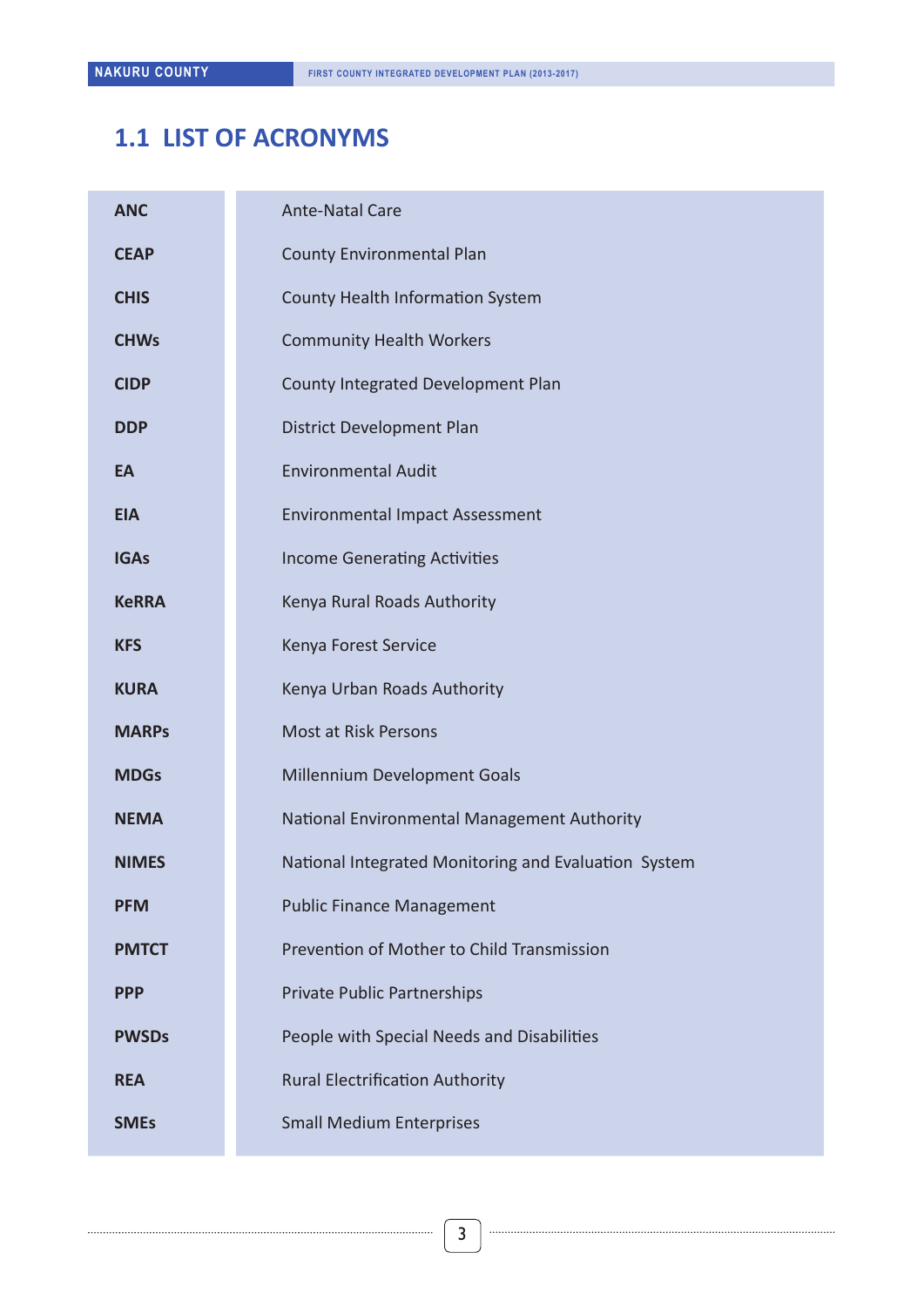### **1.1 LIST OF ACRONYMS**

×

| <b>ANC</b>   | <b>Ante-Natal Care</b>                               |
|--------------|------------------------------------------------------|
| <b>CEAP</b>  | <b>County Environmental Plan</b>                     |
| <b>CHIS</b>  | County Health Information System                     |
| <b>CHWs</b>  | <b>Community Health Workers</b>                      |
| <b>CIDP</b>  | County Integrated Development Plan                   |
| <b>DDP</b>   | District Development Plan                            |
| EA           | <b>Environmental Audit</b>                           |
| <b>EIA</b>   | <b>Environmental Impact Assessment</b>               |
| <b>IGAs</b>  | <b>Income Generating Activities</b>                  |
| <b>KeRRA</b> | Kenya Rural Roads Authority                          |
| <b>KFS</b>   | Kenya Forest Service                                 |
| <b>KURA</b>  | Kenya Urban Roads Authority                          |
| <b>MARPS</b> | <b>Most at Risk Persons</b>                          |
| <b>MDGs</b>  | Millennium Development Goals                         |
| <b>NEMA</b>  | National Environmental Management Authority          |
| <b>NIMES</b> | National Integrated Monitoring and Evaluation System |
| <b>PFM</b>   | <b>Public Finance Management</b>                     |
| <b>PMTCT</b> | Prevention of Mother to Child Transmission           |
| <b>PPP</b>   | Private Public Partnerships                          |
| <b>PWSDs</b> | People with Special Needs and Disabilities           |
| <b>REA</b>   | <b>Rural Electrification Authority</b>               |
| <b>SMEs</b>  | <b>Small Medium Enterprises</b>                      |

 $\begin{minipage}{0.5\textwidth} \begin{tabular}{|c|c|c|c|} \hline \textbf{0.01} & \textbf{0.01} & \textbf{0.01} & \textbf{0.01} & \textbf{0.01} & \textbf{0.01} & \textbf{0.01} & \textbf{0.01} & \textbf{0.01} & \textbf{0.01} & \textbf{0.01} & \textbf{0.01} & \textbf{0.01} & \textbf{0.01} & \textbf{0.01} & \textbf{0.01} & \textbf{0.01} & \textbf{0.01} & \textbf{0.0$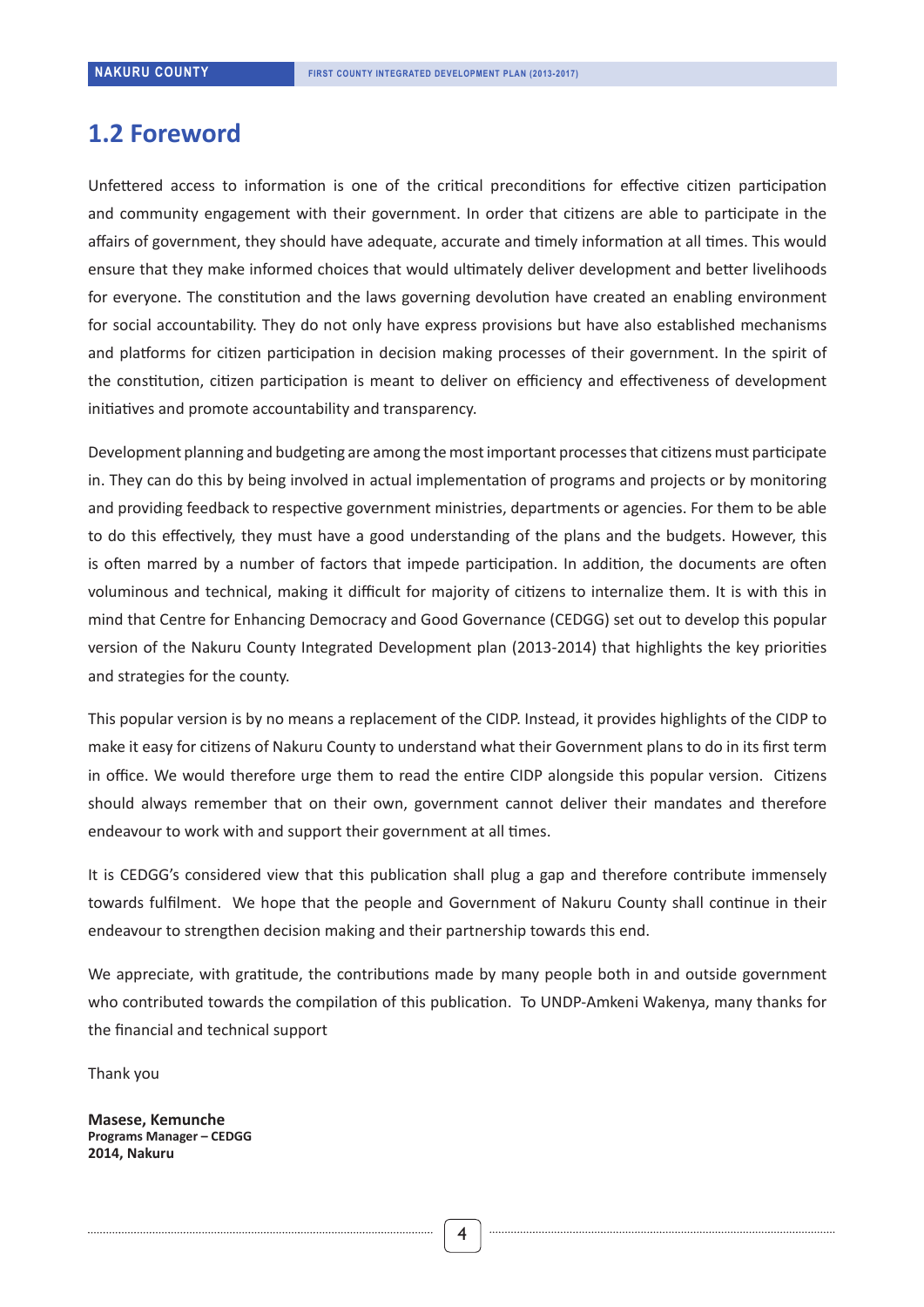#### **1.2 Foreword**

Unfettered access to information is one of the critical preconditions for effective citizen participation and community engagement with their government. In order that citizens are able to participate in the affairs of government, they should have adequate, accurate and timely information at all times. This would ensure that they make informed choices that would ultimately deliver development and better livelihoods for everyone. The constitution and the laws governing devolution have created an enabling environment for social accountability. They do not only have express provisions but have also established mechanisms and platforms for citizen participation in decision making processes of their government. In the spirit of the constitution, citizen participation is meant to deliver on efficiency and effectiveness of development initiatives and promote accountability and transparency.

Development planning and budgeting are among the most important processes that citizens must participate in. They can do this by being involved in actual implementation of programs and projects or by monitoring and providing feedback to respective government ministries, departments or agencies. For them to be able to do this effectively, they must have a good understanding of the plans and the budgets. However, this is often marred by a number of factors that impede participation. In addition, the documents are often voluminous and technical, making it difficult for majority of citizens to internalize them. It is with this in mind that Centre for Enhancing Democracy and Good Governance (CEDGG) set out to develop this popular version of the Nakuru County Integrated Development plan (2013-2014) that highlights the key priorities and strategies for the county.

This popular version is by no means a replacement of the CIDP. Instead, it provides highlights of the CIDP to make it easy for citizens of Nakuru County to understand what their Government plans to do in its first term in office. We would therefore urge them to read the entire CIDP alongside this popular version. Citizens should always remember that on their own, government cannot deliver their mandates and therefore endeavour to work with and support their government at all times.

It is CEDGG's considered view that this publication shall plug a gap and therefore contribute immensely towards fulfilment. We hope that the people and Government of Nakuru County shall continue in their endeavour to strengthen decision making and their partnership towards this end.

We appreciate, with gratitude, the contributions made by many people both in and outside government who contributed towards the compilation of this publication. To UNDP-Amkeni Wakenya, many thanks for the financial and technical support

Thank you

**Masese, Kemunche Programs Manager – CEDGG 2014, Nakuru**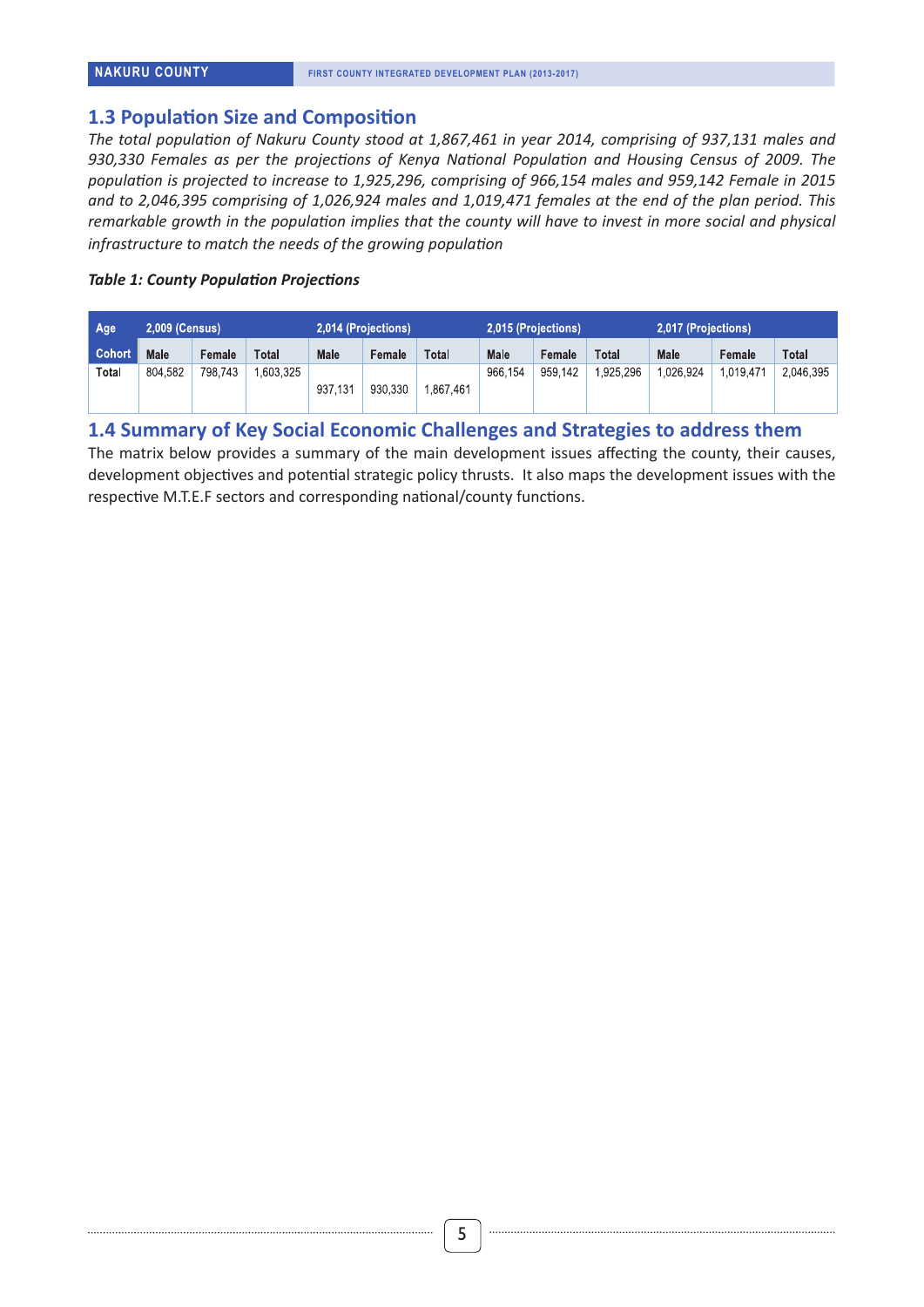#### **1.3 Population Size and Composition**

*The total population of Nakuru County stood at 1,867,461 in year 2014, comprising of 937,131 males and 930,330 Females as per the projections of Kenya National Population and Housing Census of 2009. The population is projected to increase to 1,925,296, comprising of 966,154 males and 959,142 Female in 2015 and to 2,046,395 comprising of 1,026,924 males and 1,019,471 females at the end of the plan period. This remarkable growth in the population implies that the county will have to invest in more social and physical infrastructure to match the needs of the growing population*

#### *Table 1: County Population Projections*

| Age           | 2,009 (Census) |         |          | 2,014 (Projections) |         | 2,015 (Projections)<br>2,017 (Projections) |             |         |           |          |           |              |
|---------------|----------------|---------|----------|---------------------|---------|--------------------------------------------|-------------|---------|-----------|----------|-----------|--------------|
| <b>Cohort</b> | <b>Male</b>    | Female  | Total    | <b>Male</b>         | Female  | Total                                      | <b>Male</b> | Female  | Total     | Male     | Female    | <b>Total</b> |
| Total         | 804.582        | 798.743 | .603.325 |                     |         |                                            | 966.154     | 959.142 | 1.925.296 | .026.924 | 1.019.471 | 2.046.395    |
|               |                |         |          | 937.131             | 930.330 | .867.461                                   |             |         |           |          |           |              |
|               |                |         |          |                     |         |                                            |             |         |           |          |           |              |

#### **1.4 Summary of Key Social Economic Challenges and Strategies to address them**

The matrix below provides a summary of the main development issues affecting the county, their causes, development objectives and potential strategic policy thrusts. It also maps the development issues with the respective M.T.E.F sectors and corresponding national/county functions.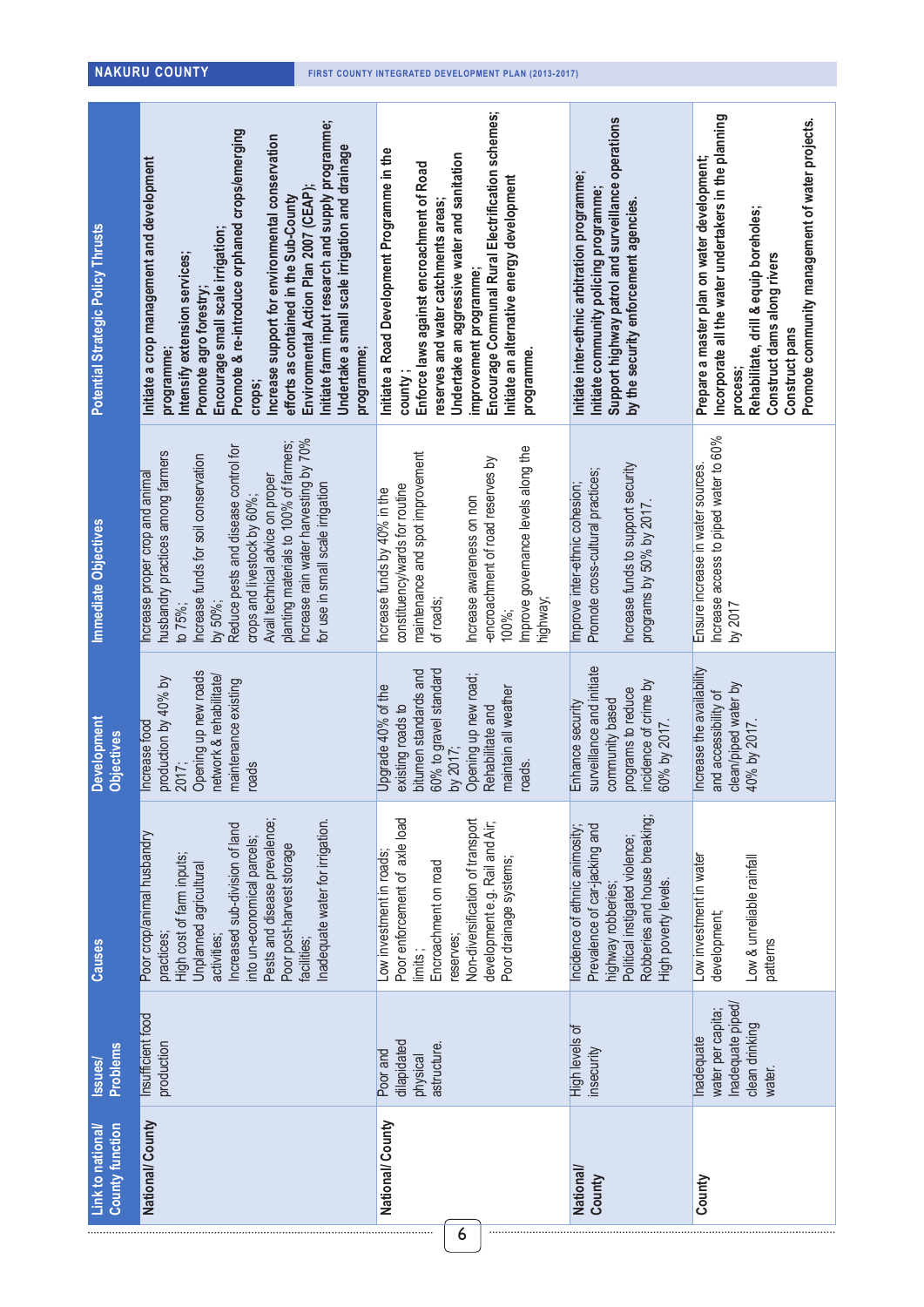| <b>Potential Strategic Policy Thrusts</b> | Initiate farm input research and supply programme;<br>Promote & re-introduce orphaned crops/emerging<br>ncrease support for environmental conservation<br>Undertake a small scale irrigation and drainage<br>Initiate a crop management and development<br>Environmental Action Plan 2007 (CEAP);<br>efforts as contained in the Sub-County<br>Encourage small scale irrigation;<br>Intensify extension services;<br>Promote agro forestry;<br>programme;<br>programme;<br>crops; | Encourage Communal Rural Electrification schemes;<br>Initiate a Road Development Programme in the<br>Undertake an aggressive water and sanitation<br>Enforce laws against encroachment of Road<br>Initiate an alternative energy development<br>reserves and water catchments areas;<br>improvement programme;<br>programme.<br>county; | Support highway patrol and surveillance operations<br>Initiate inter-ethnic arbitration programme;<br>Initiate community policing programme;<br>by the security enforcement agencies | Incorporate all the water undertakers in the planning<br>Promote community management of water projects.<br>Prepare a master plan on water development;<br>Rehabilitate, drill & equip boreholes;<br>Construct dams along rivers<br>Construct pans<br>process; |
|-------------------------------------------|-----------------------------------------------------------------------------------------------------------------------------------------------------------------------------------------------------------------------------------------------------------------------------------------------------------------------------------------------------------------------------------------------------------------------------------------------------------------------------------|-----------------------------------------------------------------------------------------------------------------------------------------------------------------------------------------------------------------------------------------------------------------------------------------------------------------------------------------|--------------------------------------------------------------------------------------------------------------------------------------------------------------------------------------|----------------------------------------------------------------------------------------------------------------------------------------------------------------------------------------------------------------------------------------------------------------|
| <b>Immediate Objectives</b>               | ncrease rain water harvesting by 70%<br>planting materials to 100% of farmers;<br>Reduce pests and disease control for<br>husbandry practices among farmers<br>Increase funds for soil conservation<br>ncrease proper crop and animal<br>Avail technical advice on proper<br>for use in small scale irrigation<br>crops and livestock by 60%;<br>by 50%;<br>to $75\%$ ;                                                                                                           | improve governance levels along the<br>maintenance and spot improvement<br>encroachment of road reserves by<br>constituency/wards for routine<br>ncrease funds by 40% in the<br>Increase awareness on non<br>highway;<br>of roads;<br>100%;                                                                                             | Increase funds to support security<br>Promote cross-cultural practices;<br>Improve inter-ethnic cohesion;<br>programs by 50% by 2017.                                                | Increase access to piped water to 60%<br>Ensure increase in water sources.<br>by 2017                                                                                                                                                                          |
| <b>Development</b><br><b>Objectives</b>   | Opening up new roads<br>network & rehabilitate/<br>production by 40% by<br>maintenance existing<br>Increase food<br>roads<br>2017;                                                                                                                                                                                                                                                                                                                                                | 60% to gravel standard<br>bitumen standards and<br>Opening up new road;<br>Upgrade 40% of the<br>maintain all weather<br>existing roads to<br>Rehabilitate and<br>by 2017;<br>roads.                                                                                                                                                    | surveillance and initiate<br>ncidence of crime by<br>programs to reduce<br>community based<br>Enhance security<br>60% by 2017.                                                       | Increase the availability<br>clean/piped water by<br>and accessibility of<br>40% by 2017                                                                                                                                                                       |
| <b>Causes</b>                             | Pests and disease prevalence;<br>nadequate water for irrigation.<br>Increased sub-division of land<br>Poor crop/animal husbandry<br>into un-economical parcels;<br>Poor post-harvest storage<br>High cost of farm inputs;<br>Unplanned agricultural<br>practices;<br>activities;<br>facilities;                                                                                                                                                                                   | Poor enforcement of axle load<br>Non-diversification of transport<br>development e.g. Rail and Air;<br>Low investment in roads;<br>Poor drainage systems;<br>Encroachment on road<br>reserves;<br>limits;                                                                                                                               | Robberies and house breaking;<br>Prevalence of car-jacking and<br>Incidence of ethnic animosity;<br>Political instigated violence;<br>High poverty levels.<br>highway robberies;     | Low investment in water<br>Low & unreliable rainfall<br>development;<br>patterns                                                                                                                                                                               |
| Problems<br>Issues/                       | Insufficient food<br>production                                                                                                                                                                                                                                                                                                                                                                                                                                                   | dilapidated<br>astructure.<br>Poor and<br>physical                                                                                                                                                                                                                                                                                      | High levels of<br>insecurity                                                                                                                                                         | Inadequate piped/<br>water per capita;<br>clean drinking<br>Inadequate<br>water.                                                                                                                                                                               |
| County function<br>Link to national/      | National/County                                                                                                                                                                                                                                                                                                                                                                                                                                                                   | National/County<br>6                                                                                                                                                                                                                                                                                                                    | National<br>County                                                                                                                                                                   | County                                                                                                                                                                                                                                                         |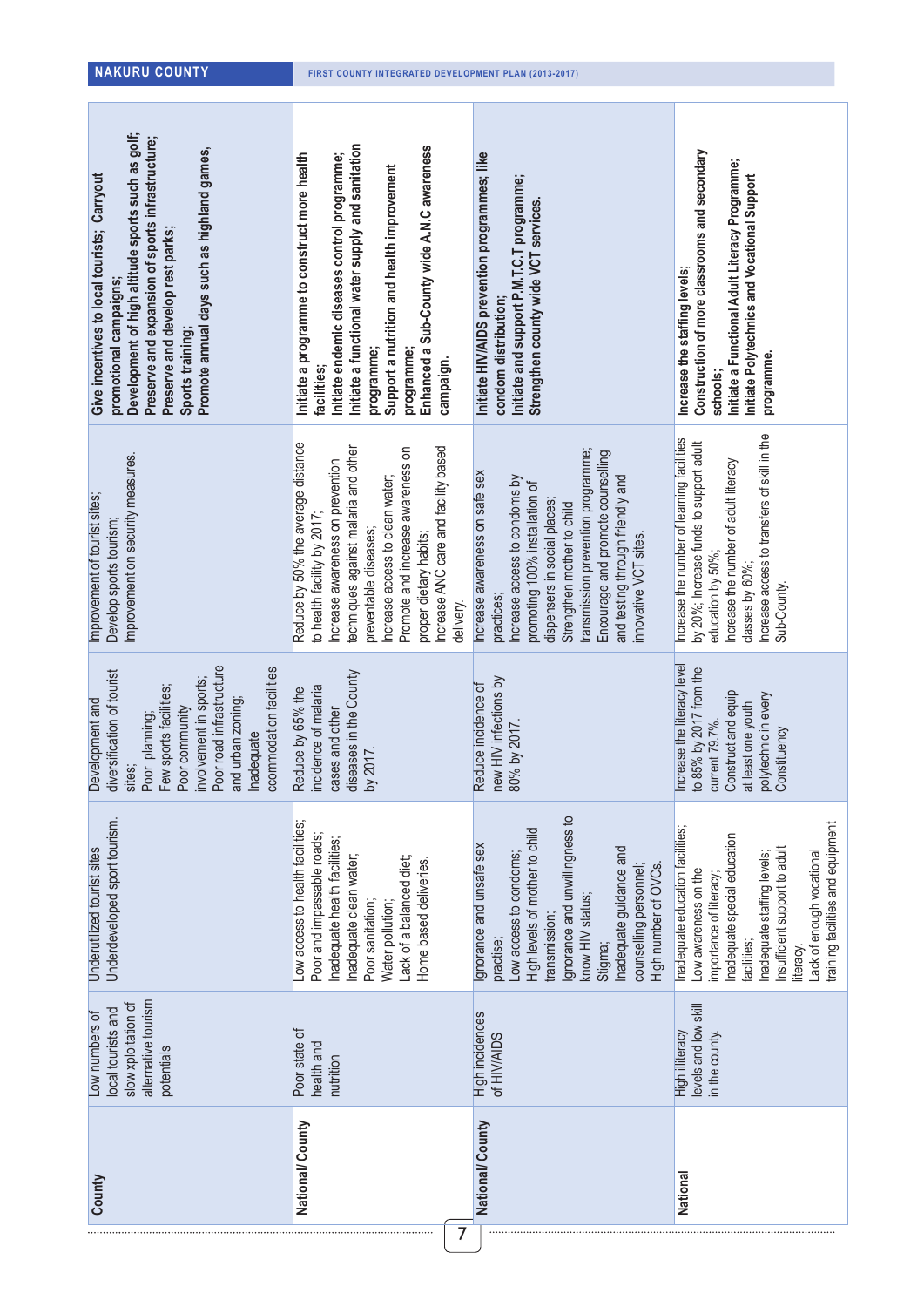| Development of high altitude sports such as golf;<br>Preserve and expansion of sports infrastructure;<br>Promote annual days such as highland games,<br>Give incentives to local tourists; Carryout<br>Preserve and develop rest parks;<br>promotional campaigns;<br>Sports training; | Initiate a functional water supply and sanitation<br>Enhanced a Sub-County wide A.N.C awareness<br>Initiate endemic diseases control programme;<br>Initiate a programme to construct more health<br>Support a nutrition and health improvement<br>programme;<br>programme;<br>campaign.<br>facilities;                        | Initiate HIV/AIDS prevention programmes; like<br>Initiate and support P.M.T.C.T programme;<br>Strengthen county wide VCT services.<br>condom distribution;                                                                                                                                                           | Construction of more classrooms and secondary<br>Initiate a Functional Adult Literacy Programme;<br>nitiate Polytechnics and Vocational Support<br>Increase the staffing levels;<br>programme.<br>schools;                                                                     |
|---------------------------------------------------------------------------------------------------------------------------------------------------------------------------------------------------------------------------------------------------------------------------------------|-------------------------------------------------------------------------------------------------------------------------------------------------------------------------------------------------------------------------------------------------------------------------------------------------------------------------------|----------------------------------------------------------------------------------------------------------------------------------------------------------------------------------------------------------------------------------------------------------------------------------------------------------------------|--------------------------------------------------------------------------------------------------------------------------------------------------------------------------------------------------------------------------------------------------------------------------------|
| Improvement on security measures.<br>Improvement of tourist sites;<br>Develop sports tourism;                                                                                                                                                                                         | Reduce by 50% the average distance<br>Increase ANC care and facility based<br>techniques against malaria and other<br>Promote and increase awareness on<br>Increase awareness on prevention<br>Increase access to clean water;<br>to health facility by 2017;<br>preventable diseases;<br>proper dietary habits;<br>delivery. | transmission prevention programme;<br>Encourage and promote counselling<br>Increase awareness on safe sex<br>and testing through friendly and<br>ncrease access to condoms by<br>promoting 100% installation of<br>dispensers in social places;<br>Strengthen mother to child<br>innovative VCT sites.<br>practices; | Increase access to transfers of skill in the<br>Increase the number of learning facilities<br>by 20%; Increase funds to support adult<br>Increase the number of adult literacy<br>education by 50%;<br>dasses by 60%;<br>Sub-County.                                           |
| Poor road infrastructure<br>ccommodation facilities<br>diversification of tourist<br>involvement in sports;<br>Few sports facilities;<br>and urban zoning;<br>Development and<br>Poor community<br>Poor planning;<br>nadequate<br>sites;                                              | diseases in the County<br>incidence of malaria<br>Reduce by 65% the<br>cases and other<br>by 2017.                                                                                                                                                                                                                            | new HIV infections by<br>Reduce incidence of<br>80% by 2017                                                                                                                                                                                                                                                          | Increase the literacy level<br>to 85% by 2017 from the<br>Construct and equip<br>polytechnic in every<br>at least one youth<br>current 79.7%.<br>Constituency                                                                                                                  |
| Underdeveloped sport tourism.<br>Underutilized tourist sites                                                                                                                                                                                                                          | Low access to health facilities;<br>Poor and impassable roads<br>Inadequate health facilities;<br>nadequate clean water;<br>ack of a balanced diet;<br>Home based deliveries.<br>Poor sanitation;<br>Water pollution;                                                                                                         | gnorance and unwillingness to<br>High levels of mother to child<br>gnorance and unsafe sex<br>nadequate guidance and<br>ow access to condoms;<br>counselling personnel;<br>High number of OVCs.<br>know HIV status;<br>transmission;<br>practise;<br>Stigma;                                                         | training facilities and equipment<br>nadequate education facilities;<br>Inadequate special education<br>nsufficient support to adult<br>Lack of enough vocational<br>Inadequate staffing levels;<br>Low awareness on the<br>mportance of literacy,<br>facilities;<br>literacy. |
| alternative tourism<br>slow xploitation of<br>local tourists and<br>Low numbers of<br>potentials                                                                                                                                                                                      | Poor state of<br>health and<br>nutrition                                                                                                                                                                                                                                                                                      | High incidences<br>of HIV/AIDS                                                                                                                                                                                                                                                                                       | levels and low skill<br>High illiteracy<br>in the county.                                                                                                                                                                                                                      |
| County                                                                                                                                                                                                                                                                                | National/County                                                                                                                                                                                                                                                                                                               | National/ County                                                                                                                                                                                                                                                                                                     | National                                                                                                                                                                                                                                                                       |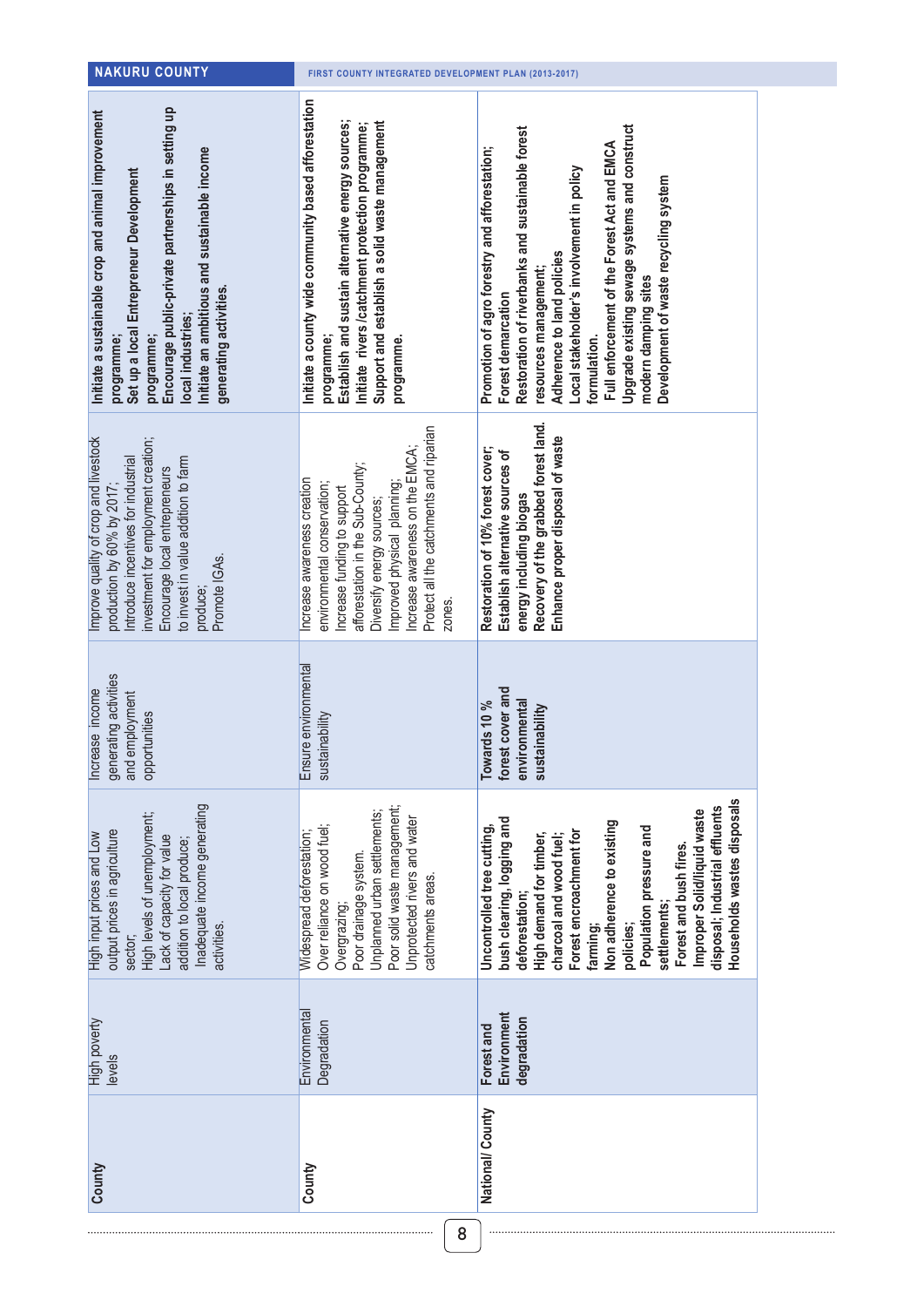| Encourage public-private partnerships in setting up<br>Initiate a sustainable crop and animal improvement<br>Initiate an ambitious and sustainable income<br>Set up a local Entrepreneur Development<br>generating activities.<br>local industries;<br>programme;<br>programme; | Initiate a county wide community based afforestation<br>Establish and sustain alternative energy sources;<br>Support and establish a solid waste management<br>Initiate rivers /catchment protection programme;<br>programme;<br>programme.                                      | Upgrade existing sewage systems and construct<br>Restoration of riverbanks and sustainable forest<br>Full enforcement of the Forest Act and EMCA<br>Promotion of agro forestry and afforestation;<br>Local stakeholder's involvement in policy<br>Development of waste recycling system<br>Adherence to land policies<br>resources management;<br>modern damping sites<br>Forest demarcation<br>formulation. |  |
|---------------------------------------------------------------------------------------------------------------------------------------------------------------------------------------------------------------------------------------------------------------------------------|----------------------------------------------------------------------------------------------------------------------------------------------------------------------------------------------------------------------------------------------------------------------------------|--------------------------------------------------------------------------------------------------------------------------------------------------------------------------------------------------------------------------------------------------------------------------------------------------------------------------------------------------------------------------------------------------------------|--|
| investment for employment creation;<br>Improve quality of crop and livestock<br>Introduce incentives for industrial<br>to invest in value addition to farm<br>Encourage local entrepreneurs<br>production by 60% by 2017;<br>Promote IGAs.<br>produce;                          | Protect all the catchments and riparian<br>Increase awareness on the EMCA:<br>afforestation in the Sub-County;<br>Increase awareness creation<br>Improved physical planning;<br>environmental conservation;<br>Increase funding to support<br>Diversify energy sources;<br>zones | Recovery of the grabbed forest land.<br>Enhance proper disposal of waste<br>Restoration of 10% forest cover;<br>Establish alternative sources of<br>energy including biogas                                                                                                                                                                                                                                  |  |
| generating activities<br>Increase income<br>and employment<br>opportunities                                                                                                                                                                                                     | Ensure environmental<br>sustainability                                                                                                                                                                                                                                           | forest cover and<br>environmental<br>Towards 10 %<br>sustainability                                                                                                                                                                                                                                                                                                                                          |  |
| Inadequate income generating<br>High levels of unemployment;<br>output prices in agriculture<br>High input prices and Low<br>Lack of capacity for value<br>addition to local produce;<br>activities.<br>sector;                                                                 | Poor solid waste management;<br>Unplanned urban settlements;<br>Unprotected rivers and water<br>Over reliance on wood fuel;<br>Widespread deforestation;<br>Poor drainage system.<br>catchments areas.<br>Overgrazing;                                                           | Households wastes disposals<br>disposal; Industrial effluents<br>Improper Solid/liquid waste<br>bush clearing, logging and<br>Non adherence to existing<br>Population pressure and<br>Uncontrolled tree cutting,<br>Forest encroachment for<br>High demand for timber,<br>charcoal and wood fuel;<br>Forest and bush fires.<br>deforestation;<br>settlements;<br>farming;<br>policies;                       |  |
| High poverty<br>levels                                                                                                                                                                                                                                                          | Environmental<br>Degradation                                                                                                                                                                                                                                                     | Environment<br>degradation<br>Forest and                                                                                                                                                                                                                                                                                                                                                                     |  |
| County                                                                                                                                                                                                                                                                          | County<br>8                                                                                                                                                                                                                                                                      | National/ County                                                                                                                                                                                                                                                                                                                                                                                             |  |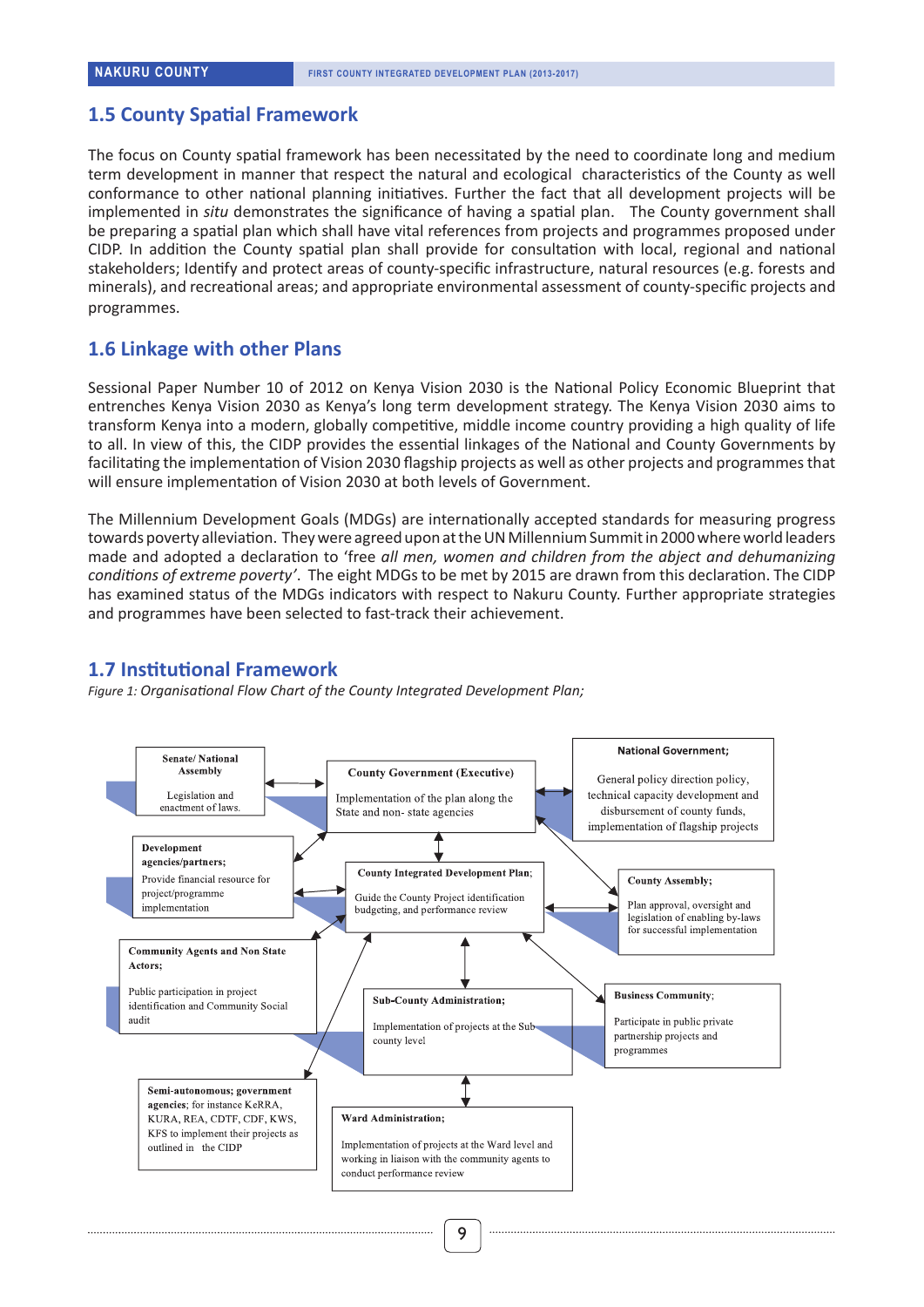#### **1.5 County Spatial Framework**

The focus on County spatial framework has been necessitated by the need to coordinate long and medium term development in manner that respect the natural and ecological characteristics of the County as well conformance to other national planning initiatives. Further the fact that all development projects will be implemented in *situ* demonstrates the significance of having a spatial plan. The County government shall be preparing a spatial plan which shall have vital references from projects and programmes proposed under CIDP. In addition the County spatial plan shall provide for consultation with local, regional and national stakeholders; Identify and protect areas of county-specific infrastructure, natural resources (e.g. forests and minerals), and recreational areas; and appropriate environmental assessment of county-specific projects and programmes.

#### **1.6 Linkage with other Plans**

Sessional Paper Number 10 of 2012 on Kenya Vision 2030 is the National Policy Economic Blueprint that entrenches Kenya Vision 2030 as Kenya's long term development strategy. The Kenya Vision 2030 aims to transform Kenya into a modern, globally competitive, middle income country providing a high quality of life to all. In view of this, the CIDP provides the essential linkages of the National and County Governments by facilitating the implementation of Vision 2030 flagship projects as well as other projects and programmes that will ensure implementation of Vision 2030 at both levels of Government.

The Millennium Development Goals (MDGs) are internationally accepted standards for measuring progress towards poverty alleviation. They were agreed upon at the UN Millennium Summit in 2000 where world leaders made and adopted a declaration to 'free *all men, women and children from the abject and dehumanizing conditions of extreme poverty'*. The eight MDGs to be met by 2015 are drawn from this declaration. The CIDP has examined status of the MDGs indicators with respect to Nakuru County. Further appropriate strategies and programmes have been selected to fast-track their achievement.

#### **1.7 Institutional Framework**

*Figure 1: Organisational Flow Chart of the County Integrated Development Plan;* 

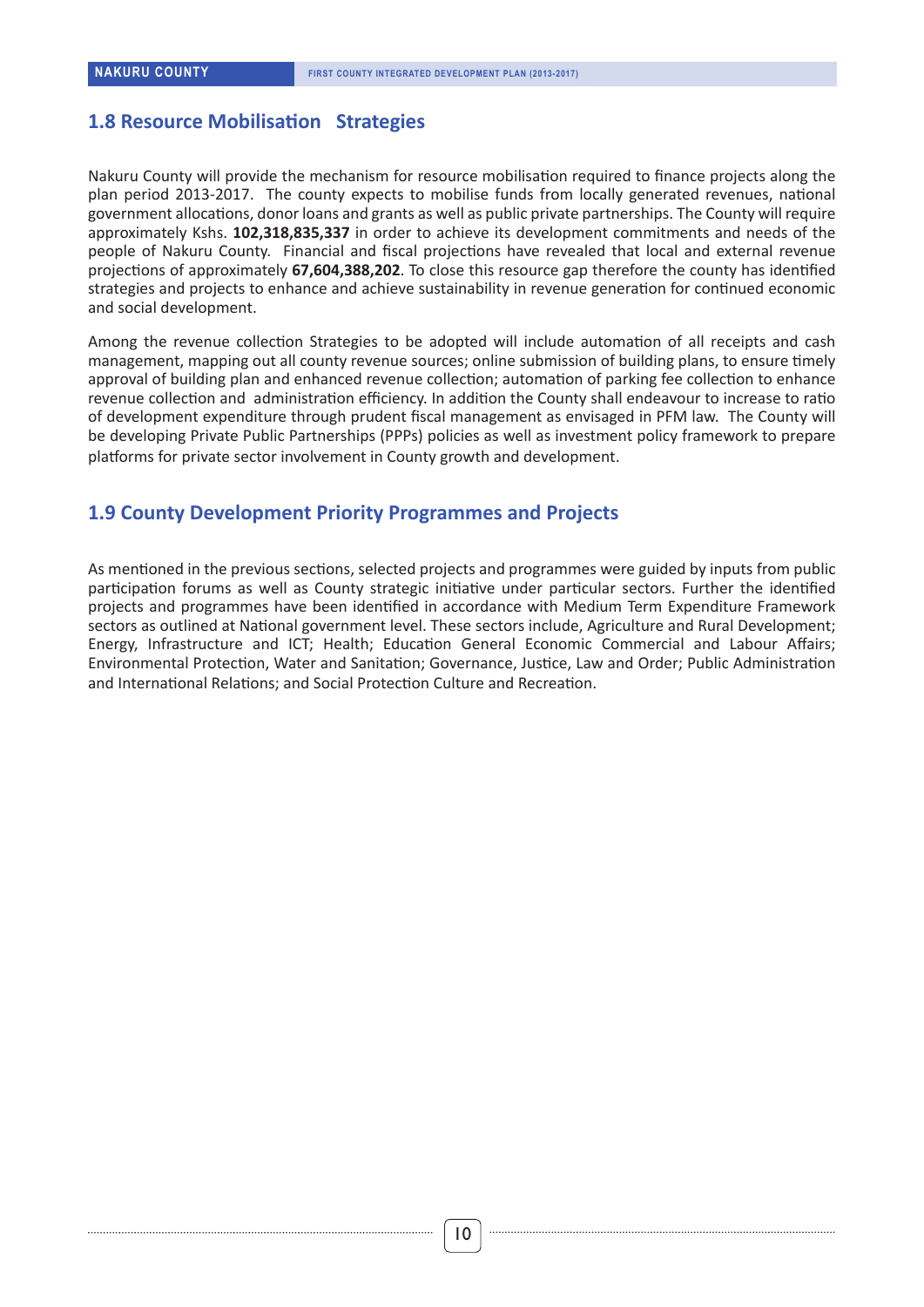#### **1.8 Resource Mobilisation Strategies**

Nakuru County will provide the mechanism for resource mobilisation required to finance projects along the plan period 2013-2017. The county expects to mobilise funds from locally generated revenues, national government allocations, donor loans and grants as well as public private partnerships. The County will require approximately Kshs. **102,318,835,337** in order to achieve its development commitments and needs of the people of Nakuru County. Financial and fiscal projections have revealed that local and external revenue projections of approximately **67,604,388,202**. To close this resource gap therefore the county has identified strategies and projects to enhance and achieve sustainability in revenue generation for continued economic and social development.

Among the revenue collection Strategies to be adopted will include automation of all receipts and cash management, mapping out all county revenue sources; online submission of building plans, to ensure timely approval of building plan and enhanced revenue collection; automation of parking fee collection to enhance revenue collection and administration efficiency. In addition the County shall endeavour to increase to ratio of development expenditure through prudent fiscal management as envisaged in PFM law. The County will be developing Private Public Partnerships (PPPs) policies as well as investment policy framework to prepare platforms for private sector involvement in County growth and development.

#### **1.9 County Development Priority Programmes and Projects**

As mentioned in the previous sections, selected projects and programmes were guided by inputs from public participation forums as well as County strategic initiative under particular sectors. Further the identified projects and programmes have been identified in accordance with Medium Term Expenditure Framework sectors as outlined at National government level. These sectors include, Agriculture and Rural Development; Energy, Infrastructure and ICT; Health; Education General Economic Commercial and Labour Affairs; Environmental Protection, Water and Sanitation; Governance, Justice, Law and Order; Public Administration and International Relations; and Social Protection Culture and Recreation.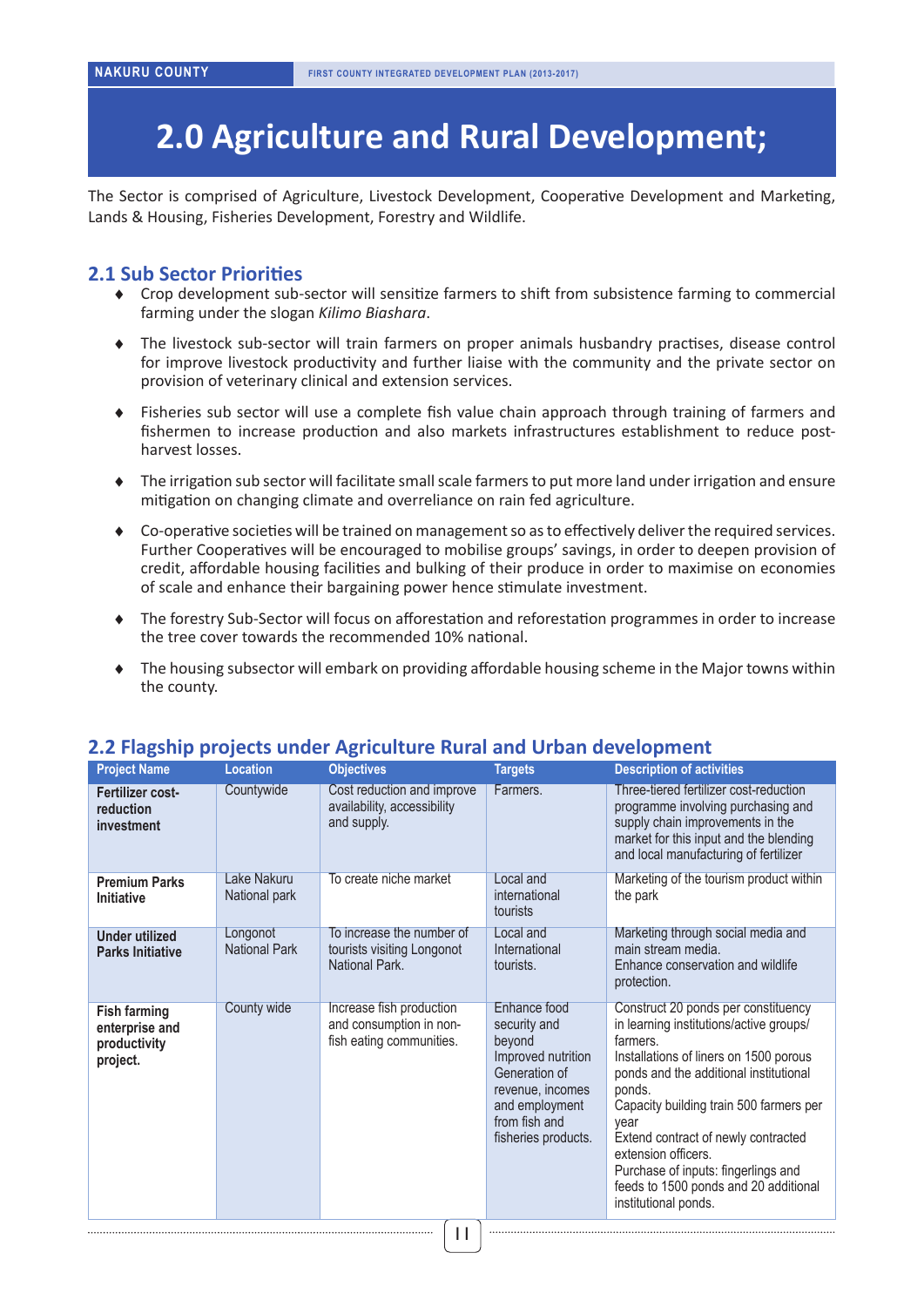## **2.0 Agriculture and Rural Development;**

The Sector is comprised of Agriculture, Livestock Development, Cooperative Development and Marketing, Lands & Housing, Fisheries Development, Forestry and Wildlife.

#### **2.1 Sub Sector Priorities**

- ♦ Crop development sub-sector will sensitize farmers to shift from subsistence farming to commercial farming under the slogan *Kilimo Biashara*.
- The livestock sub-sector will train farmers on proper animals husbandry practises, disease control for improve livestock productivity and further liaise with the community and the private sector on provision of veterinary clinical and extension services.
- ♦ Fisheries sub sector will use a complete fish value chain approach through training of farmers and fishermen to increase production and also markets infrastructures establishment to reduce postharvest losses.
- ♦ The irrigation sub sector will facilitate small scale farmers to put more land under irrigation and ensure mitigation on changing climate and overreliance on rain fed agriculture.
- $\bullet$  Co-operative societies will be trained on management so as to effectively deliver the required services. Further Cooperatives will be encouraged to mobilise groups' savings, in order to deepen provision of credit, affordable housing facilities and bulking of their produce in order to maximise on economies of scale and enhance their bargaining power hence stimulate investment.
- ♦ The forestry Sub-Sector will focus on afforestation and reforestation programmes in order to increase the tree cover towards the recommended 10% national.
- $\bullet$  The housing subsector will embark on providing affordable housing scheme in the Major towns within the county.

| <b>Project Name</b>                                               | <b>Location</b>                  | <b>Objectives</b>                                                                    | <b>Targets</b>                                                                                                                                              | <b>Description of activities</b>                                                                                                                                                                                                                                                                                                                                                                                  |
|-------------------------------------------------------------------|----------------------------------|--------------------------------------------------------------------------------------|-------------------------------------------------------------------------------------------------------------------------------------------------------------|-------------------------------------------------------------------------------------------------------------------------------------------------------------------------------------------------------------------------------------------------------------------------------------------------------------------------------------------------------------------------------------------------------------------|
| Fertilizer cost-<br>reduction<br>investment                       | Countywide                       | Cost reduction and improve<br>availability, accessibility<br>and supply.             | Farmers.                                                                                                                                                    | Three-tiered fertilizer cost-reduction<br>programme involving purchasing and<br>supply chain improvements in the<br>market for this input and the blending<br>and local manufacturing of fertilizer                                                                                                                                                                                                               |
| <b>Premium Parks</b><br><b>Initiative</b>                         | Lake Nakuru<br>National park     | To create niche market                                                               | Local and<br>international<br>tourists                                                                                                                      | Marketing of the tourism product within<br>the park                                                                                                                                                                                                                                                                                                                                                               |
| <b>Under utilized</b><br><b>Parks Initiative</b>                  | Longonot<br><b>National Park</b> | To increase the number of<br>tourists visiting Longonot<br>National Park.            | Local and<br>International<br>tourists.                                                                                                                     | Marketing through social media and<br>main stream media.<br>Enhance conservation and wildlife<br>protection.                                                                                                                                                                                                                                                                                                      |
| <b>Fish farming</b><br>enterprise and<br>productivity<br>project. | County wide                      | Increase fish production<br>and consumption in non-<br>fish eating communities.<br>. | Enhance food<br>security and<br>beyond<br>Improved nutrition<br>Generation of<br>revenue, incomes<br>and employment<br>from fish and<br>fisheries products. | Construct 20 ponds per constituency<br>in learning institutions/active groups/<br>farmers.<br>Installations of liners on 1500 porous<br>ponds and the additional institutional<br>ponds.<br>Capacity building train 500 farmers per<br>year<br>Extend contract of newly contracted<br>extension officers.<br>Purchase of inputs: fingerlings and<br>feeds to 1500 ponds and 20 additional<br>institutional ponds. |

#### **2.2 Flagship projects under Agriculture Rural and Urban development**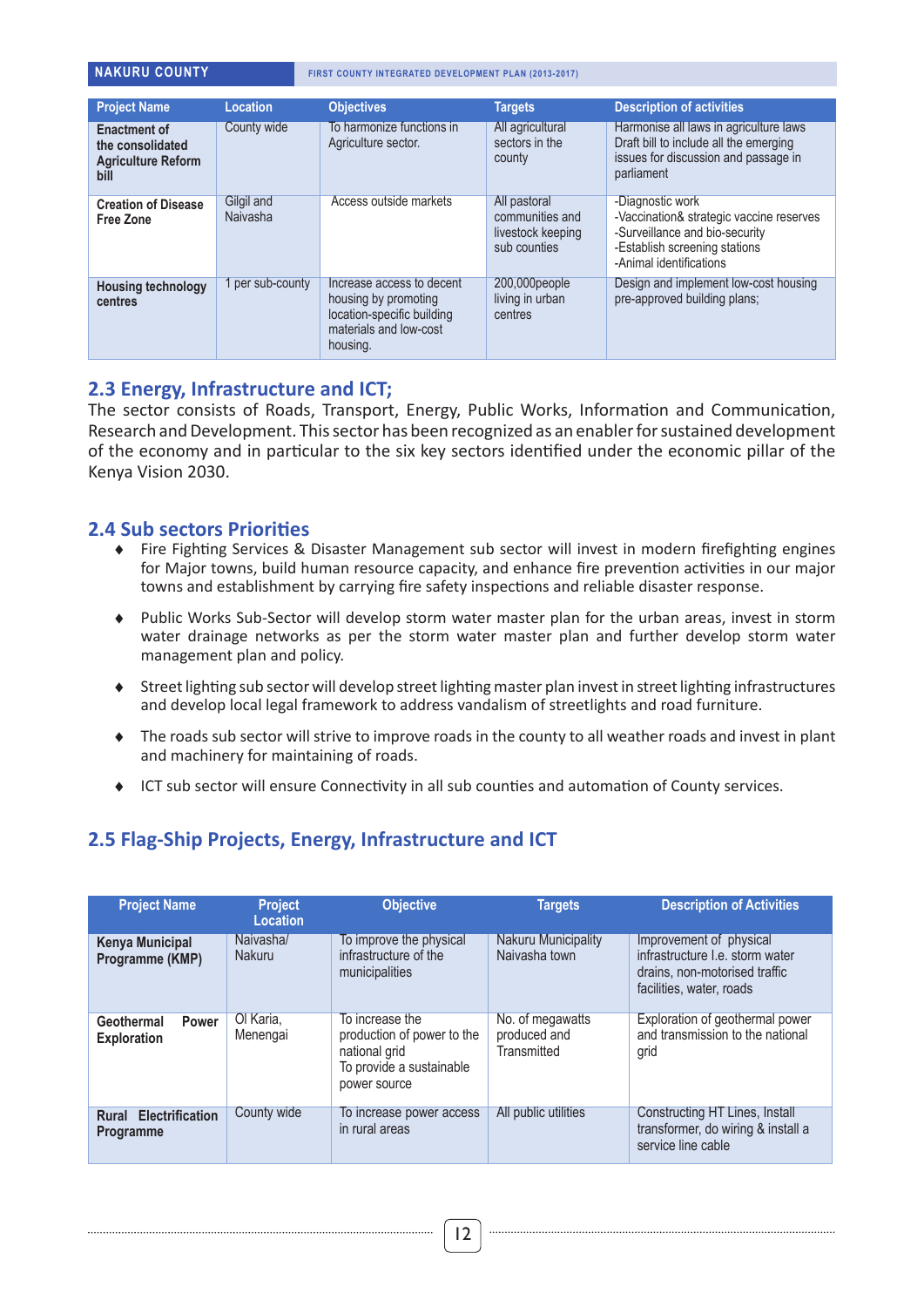| <b>NAKURU COUNTY</b> |
|----------------------|
|                      |

| <b>Project Name</b>                                                          | Location               | <b>Objectives</b>                                                                                                     | <b>Targets</b>                                                       | <b>Description of activities</b>                                                                                                                           |
|------------------------------------------------------------------------------|------------------------|-----------------------------------------------------------------------------------------------------------------------|----------------------------------------------------------------------|------------------------------------------------------------------------------------------------------------------------------------------------------------|
| <b>Enactment of</b><br>the consolidated<br><b>Agriculture Reform</b><br>bill | County wide            | To harmonize functions in<br>Agriculture sector.                                                                      | All agricultural<br>sectors in the<br>county                         | Harmonise all laws in agriculture laws<br>Draft bill to include all the emerging<br>issues for discussion and passage in<br>parliament                     |
| <b>Creation of Disease</b><br><b>Free Zone</b>                               | Gilgil and<br>Naivasha | Access outside markets                                                                                                | All pastoral<br>communities and<br>livestock keeping<br>sub counties | -Diagnostic work<br>-Vaccination& strategic vaccine reserves<br>-Surveillance and bio-security<br>-Establish screening stations<br>-Animal identifications |
| <b>Housing technology</b><br>centres                                         | per sub-county         | Increase access to decent<br>housing by promoting<br>location-specific building<br>materials and low-cost<br>housing. | 200,000 people<br>living in urban<br>centres                         | Design and implement low-cost housing<br>pre-approved building plans;                                                                                      |

#### **2.3 Energy, Infrastructure and ICT;**

The sector consists of Roads, Transport, Energy, Public Works, Information and Communication, Research and Development. This sector has been recognized as an enabler for sustained development of the economy and in particular to the six key sectors identified under the economic pillar of the Kenya Vision 2030.

#### **2.4 Sub sectors Priorities**

- ♦ Fire Fighting Services & Disaster Management sub sector will invest in modern firefighting engines for Major towns, build human resource capacity, and enhance fire prevention activities in our major towns and establishment by carrying fire safety inspections and reliable disaster response.
- ♦ Public Works Sub-Sector will develop storm water master plan for the urban areas, invest in storm water drainage networks as per the storm water master plan and further develop storm water management plan and policy.
- ♦ Street lighting sub sector will develop street lighting master plan invest in street lighting infrastructures and develop local legal framework to address vandalism of streetlights and road furniture.
- ◆ The roads sub sector will strive to improve roads in the county to all weather roads and invest in plant and machinery for maintaining of roads.
- ♦ ICT sub sector will ensure Connectivity in all sub counties and automation of County services.

#### **2.5 Flag-Ship Projects, Energy, Infrastructure and ICT**

| <b>Project Name</b>                       | <b>Project</b><br>Location | <b>Objective</b>                                                                                           | <b>Targets</b>                                  | <b>Description of Activities</b>                                                                                        |
|-------------------------------------------|----------------------------|------------------------------------------------------------------------------------------------------------|-------------------------------------------------|-------------------------------------------------------------------------------------------------------------------------|
| Kenya Municipal<br>Programme (KMP)        | Naivasha/<br>Nakuru        | To improve the physical<br>infrastructure of the<br>municipalities                                         | <b>Nakuru Municipality</b><br>Naivasha town     | Improvement of physical<br>infrastructure I.e. storm water<br>drains, non-motorised traffic<br>facilities, water, roads |
| Power<br>Geothermal<br><b>Exploration</b> | Ol Karia,<br>Menengai      | To increase the<br>production of power to the<br>national grid<br>To provide a sustainable<br>power source | No. of megawatts<br>produced and<br>Transmitted | Exploration of geothermal power<br>and transmission to the national<br>grid                                             |
| <b>Rural Electrification</b><br>Programme | County wide                | To increase power access<br>in rural areas                                                                 | All public utilities                            | Constructing HT Lines, Install<br>transformer, do wiring & install a<br>service line cable                              |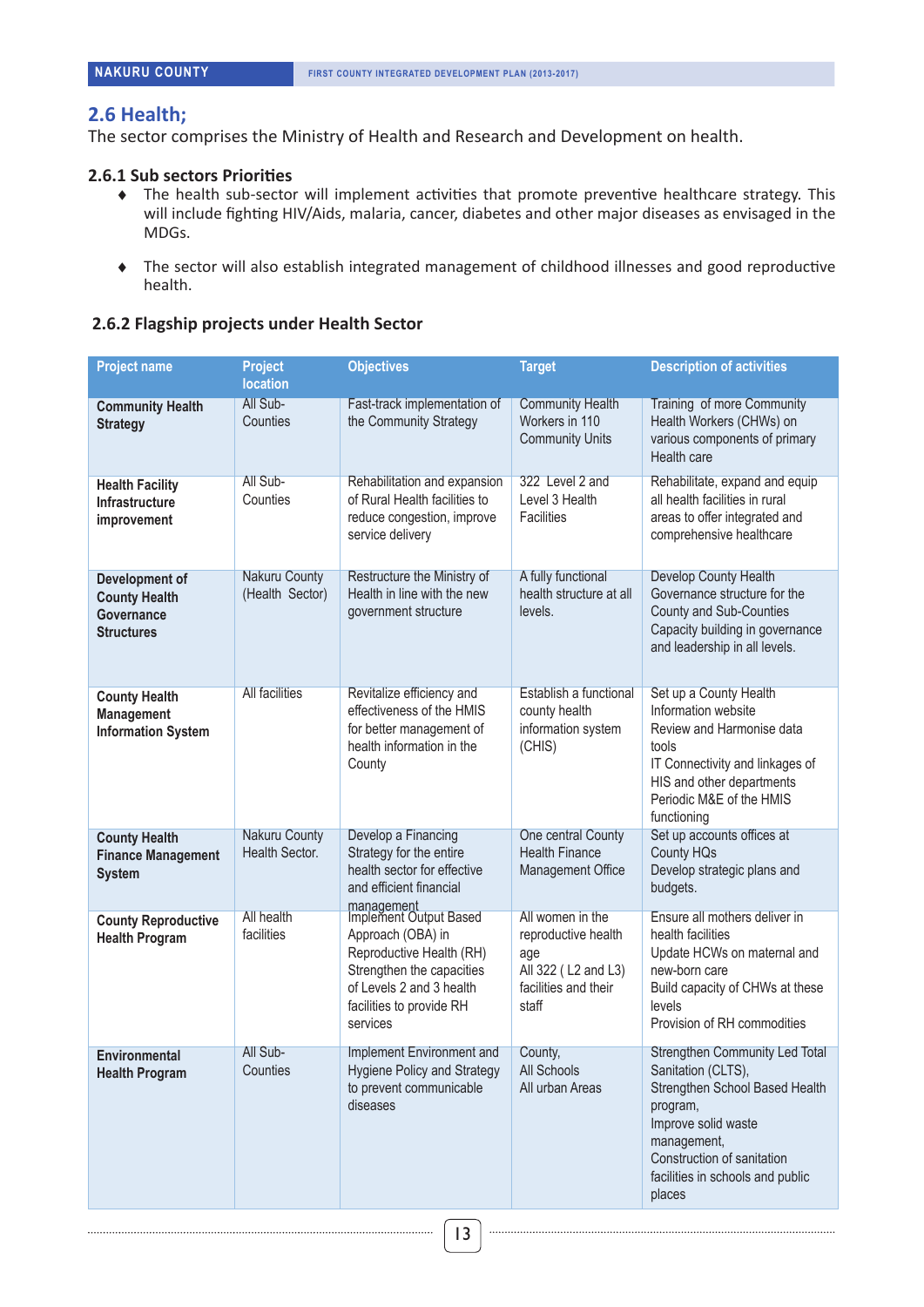#### **2.6 Health;**

The sector comprises the Ministry of Health and Research and Development on health.

#### **2.6.1 Sub sectors Priorities**

- ♦ The health sub-sector will implement activities that promote preventive healthcare strategy. This will include fighting HIV/Aids, malaria, cancer, diabetes and other major diseases as envisaged in the MDGs.
- ♦ The sector will also establish integrated management of childhood illnesses and good reproductive health.

#### **2.6.2 Flagship projects under Health Sector**

| <b>Project name</b>                                                       | <b>Project</b><br><b>location</b>       | <b>Objectives</b>                                                                                                                                                                      | <b>Target</b>                                                                                          | <b>Description of activities</b>                                                                                                                                                                                     |
|---------------------------------------------------------------------------|-----------------------------------------|----------------------------------------------------------------------------------------------------------------------------------------------------------------------------------------|--------------------------------------------------------------------------------------------------------|----------------------------------------------------------------------------------------------------------------------------------------------------------------------------------------------------------------------|
| <b>Community Health</b><br><b>Strategy</b>                                | All Sub-<br>Counties                    | Fast-track implementation of<br>the Community Strategy                                                                                                                                 | <b>Community Health</b><br>Workers in 110<br><b>Community Units</b>                                    | Training of more Community<br>Health Workers (CHWs) on<br>various components of primary<br>Health care                                                                                                               |
| <b>Health Facility</b><br>Infrastructure<br>improvement                   | All Sub-<br>Counties                    | Rehabilitation and expansion<br>of Rural Health facilities to<br>reduce congestion, improve<br>service delivery                                                                        | 322 Level 2 and<br>Level 3 Health<br><b>Facilities</b>                                                 | Rehabilitate, expand and equip<br>all health facilities in rural<br>areas to offer integrated and<br>comprehensive healthcare                                                                                        |
| Development of<br><b>County Health</b><br>Governance<br><b>Structures</b> | <b>Nakuru County</b><br>(Health Sector) | Restructure the Ministry of<br>Health in line with the new<br>government structure                                                                                                     | A fully functional<br>health structure at all<br>levels.                                               | <b>Develop County Health</b><br>Governance structure for the<br>County and Sub-Counties<br>Capacity building in governance<br>and leadership in all levels.                                                          |
| <b>County Health</b><br>Management<br><b>Information System</b>           | <b>All facilities</b>                   | Revitalize efficiency and<br>effectiveness of the HMIS<br>for better management of<br>health information in the<br>County                                                              | Establish a functional<br>county health<br>information system<br>(CHIS)                                | Set up a County Health<br>Information website<br>Review and Harmonise data<br>tools<br>IT Connectivity and linkages of<br>HIS and other departments<br>Periodic M&E of the HMIS<br>functioning                       |
| <b>County Health</b><br><b>Finance Management</b><br><b>System</b>        | <b>Nakuru County</b><br>Health Sector.  | Develop a Financing<br>Strategy for the entire<br>health sector for effective<br>and efficient financial                                                                               | One central County<br><b>Health Finance</b><br>Management Office                                       | Set up accounts offices at<br><b>County HQs</b><br>Develop strategic plans and<br>budgets.                                                                                                                           |
| <b>County Reproductive</b><br><b>Health Program</b>                       | All health<br>facilities                | management<br>Implement Output Based<br>Approach (OBA) in<br>Reproductive Health (RH)<br>Strengthen the capacities<br>of Levels 2 and 3 health<br>facilities to provide RH<br>services | All women in the<br>reproductive health<br>age<br>All 322 (L2 and L3)<br>facilities and their<br>staff | Ensure all mothers deliver in<br>health facilities<br>Update HCWs on maternal and<br>new-born care<br>Build capacity of CHWs at these<br>levels<br>Provision of RH commodities                                       |
| Environmental<br><b>Health Program</b>                                    | All Sub-<br>Counties                    | Implement Environment and County,<br><b>Hygiene Policy and Strategy</b><br>to prevent communicable<br>diseases                                                                         | All Schools<br>All urban Areas                                                                         | Strengthen Community Led Total<br>Sanitation (CLTS),<br>Strengthen School Based Health<br>program,<br>Improve solid waste<br>management,<br>Construction of sanitation<br>facilities in schools and public<br>places |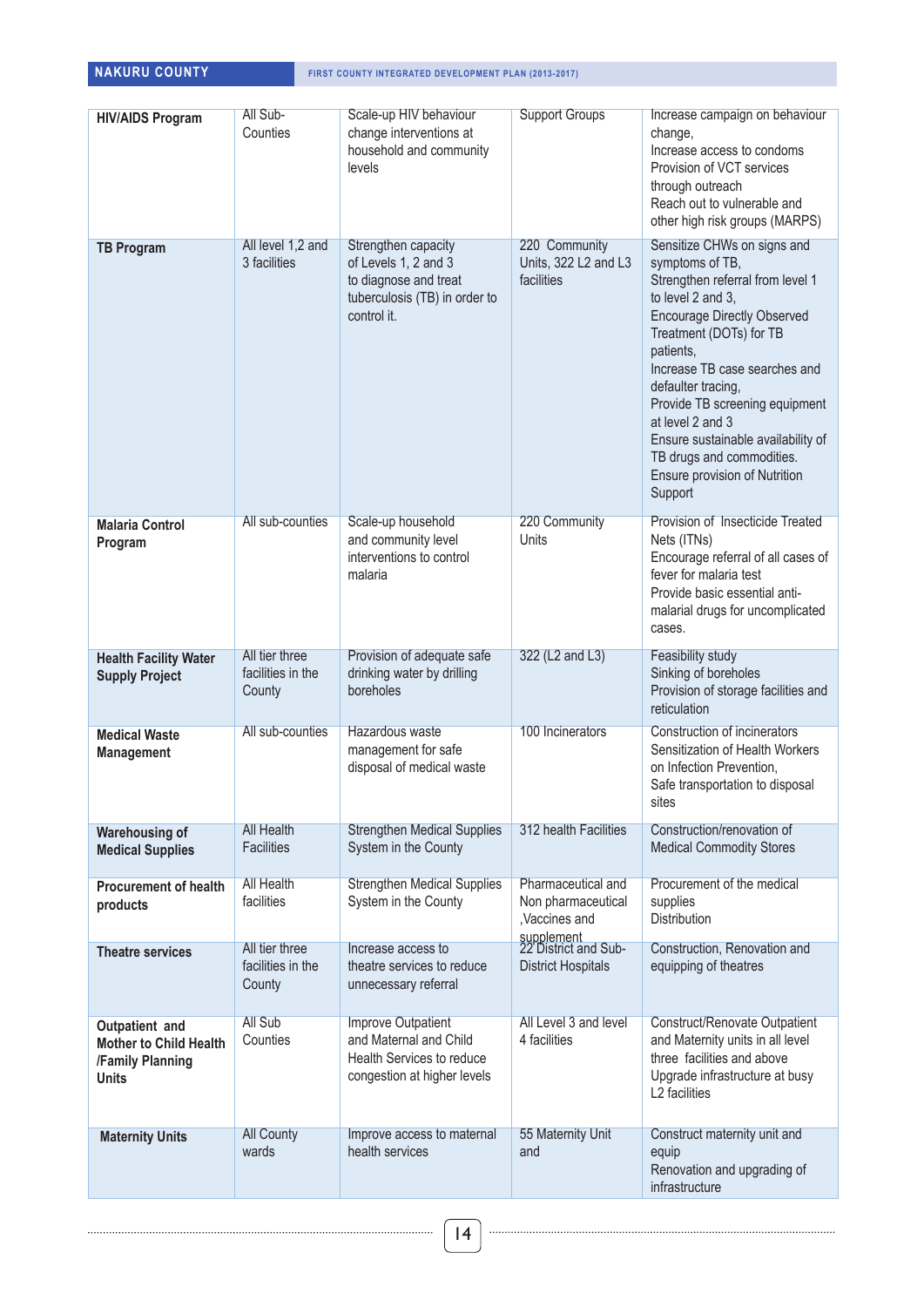| <b>HIV/AIDS Program</b>                                                             | All Sub-<br>Counties                          | Scale-up HIV behaviour<br>change interventions at<br>household and community<br>levels                               | <b>Support Groups</b>                                                                           | Increase campaign on behaviour<br>change,<br>Increase access to condoms<br>Provision of VCT services<br>through outreach<br>Reach out to vulnerable and<br>other high risk groups (MARPS)                                                                                                                                                                                                                         |
|-------------------------------------------------------------------------------------|-----------------------------------------------|----------------------------------------------------------------------------------------------------------------------|-------------------------------------------------------------------------------------------------|-------------------------------------------------------------------------------------------------------------------------------------------------------------------------------------------------------------------------------------------------------------------------------------------------------------------------------------------------------------------------------------------------------------------|
| <b>TB Program</b>                                                                   | All level 1,2 and<br>3 facilities             | Strengthen capacity<br>of Levels 1, 2 and 3<br>to diagnose and treat<br>tuberculosis (TB) in order to<br>control it. | 220 Community<br>Units, 322 L2 and L3<br>facilities                                             | Sensitize CHWs on signs and<br>symptoms of TB,<br>Strengthen referral from level 1<br>to level 2 and 3,<br><b>Encourage Directly Observed</b><br>Treatment (DOTs) for TB<br>patients,<br>Increase TB case searches and<br>defaulter tracing,<br>Provide TB screening equipment<br>at level 2 and 3<br>Ensure sustainable availability of<br>TB drugs and commodities.<br>Ensure provision of Nutrition<br>Support |
| <b>Malaria Control</b><br>Program                                                   | All sub-counties                              | Scale-up household<br>and community level<br>interventions to control<br>malaria                                     | 220 Community<br>Units                                                                          | Provision of Insecticide Treated<br>Nets (ITNs)<br>Encourage referral of all cases of<br>fever for malaria test<br>Provide basic essential anti-<br>malarial drugs for uncomplicated<br>cases.                                                                                                                                                                                                                    |
| <b>Health Facility Water</b><br><b>Supply Project</b>                               | All tier three<br>facilities in the<br>County | Provision of adequate safe<br>drinking water by drilling<br>boreholes                                                | 322 (L2 and L3)                                                                                 | Feasibility study<br>Sinking of boreholes<br>Provision of storage facilities and<br>reticulation                                                                                                                                                                                                                                                                                                                  |
| <b>Medical Waste</b><br><b>Management</b>                                           | All sub-counties                              | Hazardous waste<br>management for safe<br>disposal of medical waste                                                  | 100 Incinerators                                                                                | <b>Construction of incinerators</b><br>Sensitization of Health Workers<br>on Infection Prevention,<br>Safe transportation to disposal<br>sites                                                                                                                                                                                                                                                                    |
| <b>Warehousing of</b><br><b>Medical Supplies</b>                                    | <b>All Health</b><br><b>Facilities</b>        | <b>Strengthen Medical Supplies</b><br>System in the County                                                           | 312 health Facilities                                                                           | Construction/renovation of<br><b>Medical Commodity Stores</b>                                                                                                                                                                                                                                                                                                                                                     |
| <b>Procurement of health</b><br>products                                            | <b>All Health</b><br>facilities               | <b>Strengthen Medical Supplies</b><br>System in the County                                                           | Pharmaceutical and<br>Non pharmaceutical<br>,Vaccines and<br>supplement<br>22 District and Sub- | Procurement of the medical<br>supplies<br>Distribution                                                                                                                                                                                                                                                                                                                                                            |
| <b>Theatre services</b>                                                             | All tier three<br>facilities in the<br>County | Increase access to<br>theatre services to reduce<br>unnecessary referral                                             | <b>District Hospitals</b>                                                                       | Construction, Renovation and<br>equipping of theatres                                                                                                                                                                                                                                                                                                                                                             |
| Outpatient and<br><b>Mother to Child Health</b><br>/Family Planning<br><b>Units</b> | All Sub<br>Counties                           | <b>Improve Outpatient</b><br>and Maternal and Child<br>Health Services to reduce<br>congestion at higher levels      | All Level 3 and level<br>4 facilities                                                           | <b>Construct/Renovate Outpatient</b><br>and Maternity units in all level<br>three facilities and above<br>Upgrade infrastructure at busy<br>L <sub>2</sub> facilities                                                                                                                                                                                                                                             |
| <b>Maternity Units</b>                                                              | <b>All County</b><br>wards                    | Improve access to maternal<br>health services                                                                        | 55 Maternity Unit<br>and                                                                        | Construct maternity unit and<br>equip<br>Renovation and upgrading of<br>infrastructure                                                                                                                                                                                                                                                                                                                            |

 $\begin{minipage}{0.5\textwidth} \begin{tabular}{|l|c|c|c|c|} \hline \textbf{0.01} & \textbf{0.01} & \textbf{0.01} & \textbf{0.01} & \textbf{0.01} & \textbf{0.01} & \textbf{0.01} & \textbf{0.01} & \textbf{0.01} & \textbf{0.01} & \textbf{0.01} & \textbf{0.01} & \textbf{0.01} & \textbf{0.01} & \textbf{0.01} & \textbf{0.01} & \textbf{0.01} & \textbf{0.01} & \textbf{0$ 

 $\begin{minipage}{0.5\textwidth} \begin{tabular}{|c|c|c|c|} \hline \textbf{0.01} & \textbf{0.01} & \textbf{0.01} & \textbf{0.01} & \textbf{0.01} & \textbf{0.01} & \textbf{0.01} & \textbf{0.01} & \textbf{0.01} & \textbf{0.01} & \textbf{0.01} & \textbf{0.01} & \textbf{0.01} & \textbf{0.01} & \textbf{0.01} & \textbf{0.01} & \textbf{0.01} & \textbf{0.01} & \textbf{0.0$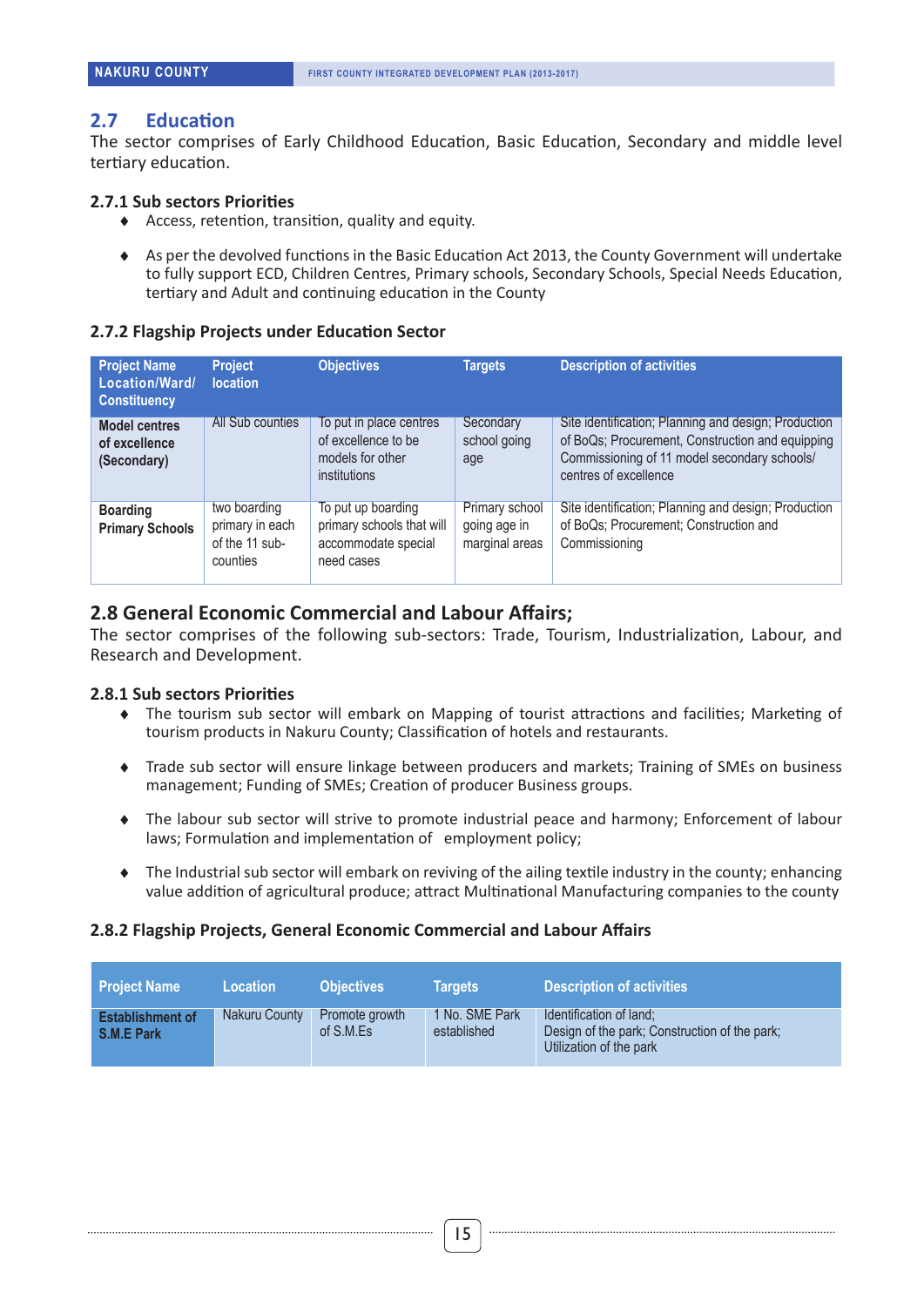#### **2.7 Education**

The sector comprises of Early Childhood Education, Basic Education, Secondary and middle level tertiary education.

#### **2.7.1 Sub sectors Priorities**

- ♦ Access, retention, transition, quality and equity.
- ♦ As per the devolved functions in the Basic Education Act 2013, the County Government will undertake to fully support ECD, Children Centres, Primary schools, Secondary Schools, Special Needs Education, tertiary and Adult and continuing education in the County

#### **2.7.2 Flagship Projects under Education Sector**

| <b>Project Name</b><br>Location/Ward/<br><b>Constituency</b> | <b>Project</b><br><b>location</b>                             | <b>Objectives</b>                                                                    | <b>Targets</b>                                   | <b>Description of activities</b>                                                                                                                                                  |
|--------------------------------------------------------------|---------------------------------------------------------------|--------------------------------------------------------------------------------------|--------------------------------------------------|-----------------------------------------------------------------------------------------------------------------------------------------------------------------------------------|
| <b>Model centres</b><br>of excellence<br>(Secondary)         | All Sub counties                                              | To put in place centres<br>of excellence to be<br>models for other<br>institutions   | Secondary<br>school going<br>age                 | Site identification; Planning and design; Production<br>of BoQs; Procurement, Construction and equipping<br>Commissioning of 11 model secondary schools/<br>centres of excellence |
| <b>Boarding</b><br><b>Primary Schools</b>                    | two boarding<br>primary in each<br>of the 11 sub-<br>counties | To put up boarding<br>primary schools that will<br>accommodate special<br>need cases | Primary school<br>going age in<br>marginal areas | Site identification; Planning and design; Production<br>of BoQs; Procurement; Construction and<br>Commissioning                                                                   |

#### **2.8 General Economic Commercial and Labour Affairs;**

The sector comprises of the following sub-sectors: Trade, Tourism, Industrialization, Labour, and Research and Development.

#### **2.8.1 Sub sectors Priorities**

- ♦ The tourism sub sector will embark on Mapping of tourist attractions and facilities; Marketing of tourism products in Nakuru County; Classification of hotels and restaurants.
- ♦ Trade sub sector will ensure linkage between producers and markets; Training of SMEs on business management; Funding of SMEs; Creation of producer Business groups.
- ♦ The labour sub sector will strive to promote industrial peace and harmony; Enforcement of labour laws; Formulation and implementation of employment policy;
- ♦ The Industrial sub sector will embark on reviving of the ailing textile industry in the county; enhancing value addition of agricultural produce; attract Multinational Manufacturing companies to the county

#### **2.8.2 Flagship Projects, General Economic Commercial and Labour Affairs**

| <b>Project Name</b>                   | <b>Location</b> | <b>Objectives</b>           | <b>Targets</b>                | <b>Description of activities</b>                                                                    |
|---------------------------------------|-----------------|-----------------------------|-------------------------------|-----------------------------------------------------------------------------------------------------|
| <b>Establishment of</b><br>S.M.E Park | Nakuru County   | Promote growth<br>of S.M.Es | 1 No. SME Park<br>established | Identification of land:<br>Design of the park; Construction of the park;<br>Utilization of the park |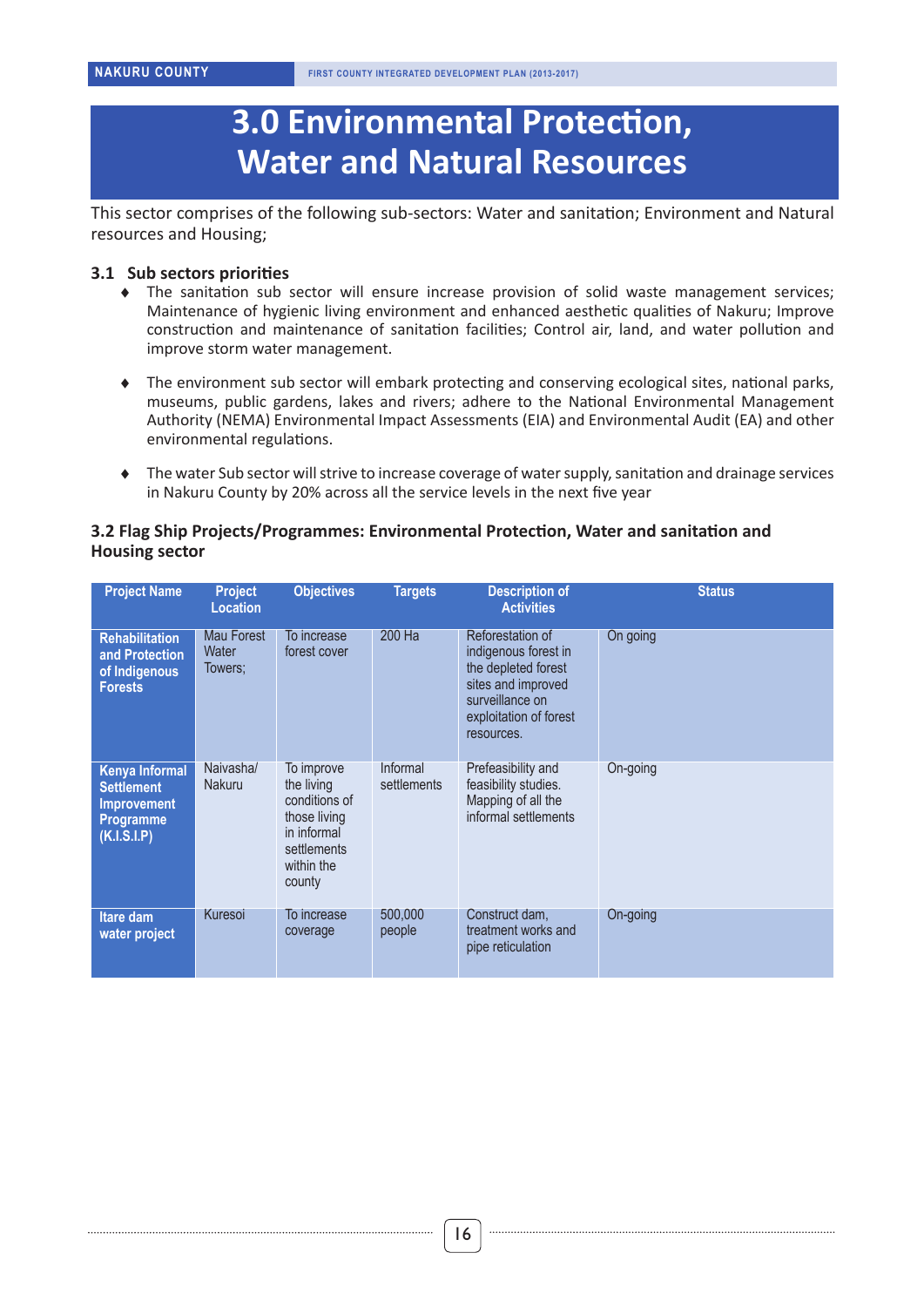## **3.0 Environmental Protection, Water and Natural Resources**

This sector comprises of the following sub-sectors: Water and sanitation; Environment and Natural resources and Housing;

#### **3.1 Sub sectors priorities**

- ♦ The sanitation sub sector will ensure increase provision of solid waste management services; Maintenance of hygienic living environment and enhanced aesthetic qualities of Nakuru; Improve construction and maintenance of sanitation facilities; Control air, land, and water pollution and improve storm water management.
- ♦ The environment sub sector will embark protecting and conserving ecological sites, national parks, museums, public gardens, lakes and rivers; adhere to the National Environmental Management Authority (NEMA) Environmental Impact Assessments (EIA) and Environmental Audit (EA) and other environmental regulations.
- ◆ The water Sub sector will strive to increase coverage of water supply, sanitation and drainage services in Nakuru County by 20% across all the service levels in the next five year

#### **3.2 Flag Ship Projects/Programmes: Environmental Protection, Water and sanitation and Housing sector**

| <b>Project Name</b>                                                                                 | <b>Project</b><br><b>Location</b> | <b>Objectives</b>                                                                                               | <b>Targets</b>          | <b>Description of</b><br><b>Activities</b>                                                                                                       | <b>Status</b> |
|-----------------------------------------------------------------------------------------------------|-----------------------------------|-----------------------------------------------------------------------------------------------------------------|-------------------------|--------------------------------------------------------------------------------------------------------------------------------------------------|---------------|
| <b>Rehabilitation</b><br>and Protection<br>of Indigenous<br><b>Forests</b>                          | Mau Forest<br>Water<br>Towers:    | To increase<br>forest cover                                                                                     | 200 Ha                  | Reforestation of<br>indigenous forest in<br>the depleted forest<br>sites and improved<br>surveillance on<br>exploitation of forest<br>resources. | On going      |
| <b>Kenya Informal</b><br><b>Settlement</b><br><b>Improvement</b><br><b>Programme</b><br>(K.I.S.I.P) | Naivasha/<br><b>Nakuru</b>        | To improve<br>the living<br>conditions of<br>those living<br>in informal<br>settlements<br>within the<br>county | Informal<br>settlements | Prefeasibility and<br>feasibility studies.<br>Mapping of all the<br>informal settlements                                                         | On-going      |
| Itare dam<br>water project                                                                          | Kuresoi                           | To increase<br>coverage                                                                                         | 500,000<br>people       | Construct dam.<br>treatment works and<br>pipe reticulation                                                                                       | On-going      |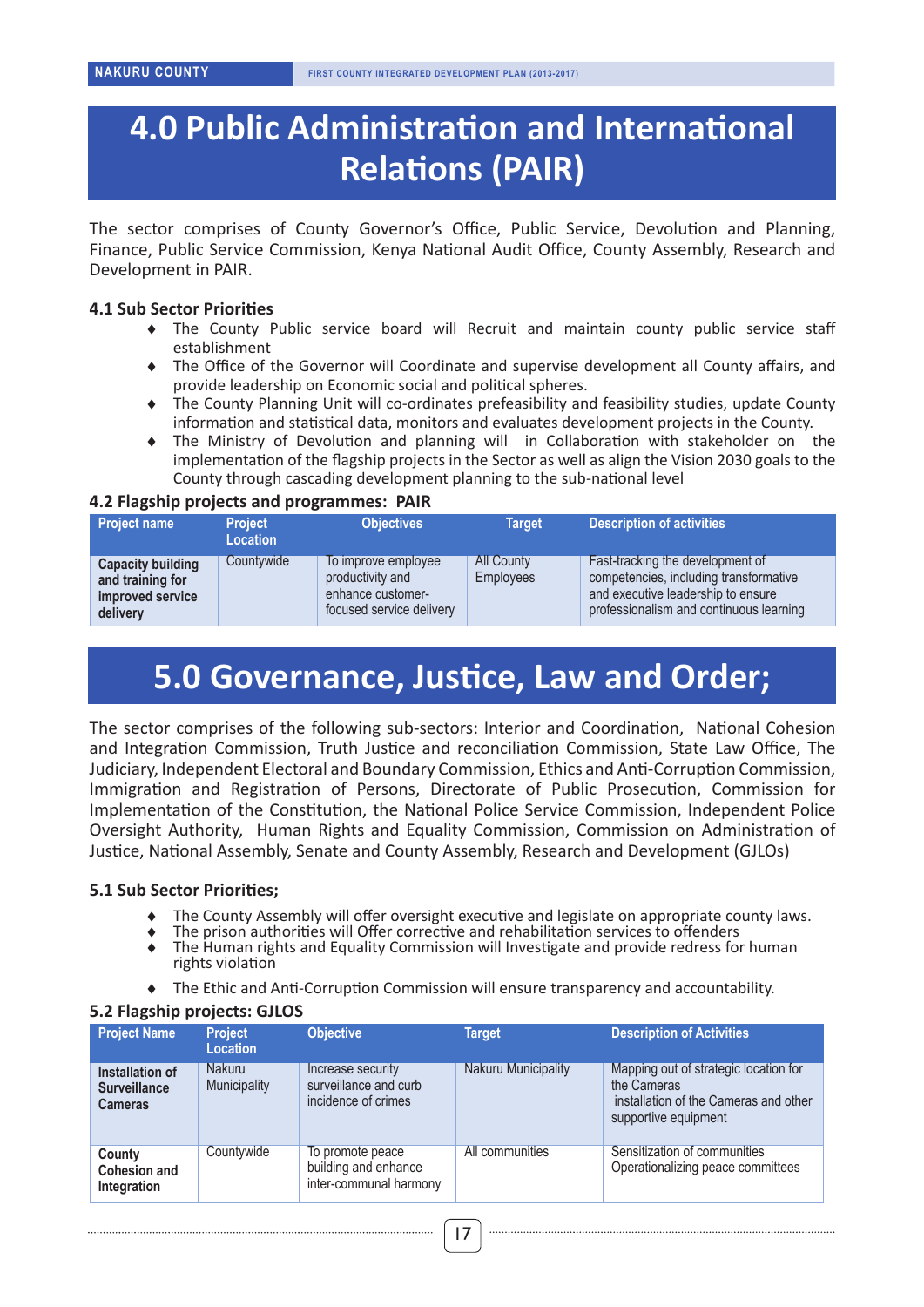## **4.0 Public Administration and International Relations (PAIR)**

The sector comprises of County Governor's Office, Public Service, Devolution and Planning, Finance, Public Service Commission, Kenya National Audit Office, County Assembly, Research and Development in PAIR.

#### **4.1 Sub Sector Priorities**

- ♦ The County Public service board will Recruit and maintain county public service staff establishment
- ♦ The Office of the Governor will Coordinate and supervise development all County affairs, and provide leadership on Economic social and political spheres.
- ♦ The County Planning Unit will co-ordinates prefeasibility and feasibility studies, update County information and statistical data, monitors and evaluates development projects in the County.
- The Ministry of Devolution and planning will in Collaboration with stakeholder on the implementation of the flagship projects in the Sector as well as align the Vision 2030 goals to the County through cascading development planning to the sub-national level

#### **4.2 Flagship projects and programmes: PAIR**

| Project name                                                                 | <b>Project</b><br><b>Location</b> | <b>Objectives</b>                                                                        | <b>Target</b>                  | <b>Description of activities</b>                                                                                                                            |
|------------------------------------------------------------------------------|-----------------------------------|------------------------------------------------------------------------------------------|--------------------------------|-------------------------------------------------------------------------------------------------------------------------------------------------------------|
| <b>Capacity building</b><br>and training for<br>improved service<br>delivery | Countywide                        | To improve employee<br>productivity and<br>enhance customer-<br>focused service delivery | <b>All County</b><br>Employees | Fast-tracking the development of<br>competencies, including transformative<br>and executive leadership to ensure<br>professionalism and continuous learning |

## **5.0 Governance, Justice, Law and Order;**

The sector comprises of the following sub-sectors: Interior and Coordination, National Cohesion and Integration Commission, Truth Justice and reconciliation Commission, State Law Office, The Judiciary, Independent Electoral and Boundary Commission, Ethics and Anti-Corruption Commission, Immigration and Registration of Persons, Directorate of Public Prosecution, Commission for Implementation of the Constitution, the National Police Service Commission, Independent Police Oversight Authority, Human Rights and Equality Commission, Commission on Administration of Justice, National Assembly, Senate and County Assembly, Research and Development (GJLOs)

#### **5.1 Sub Sector Priorities;**

- The County Assembly will offer oversight executive and legislate on appropriate county laws.
- The prison authorities will Offer corrective and rehabilitation services to offenders
- The Human rights and Equality Commission will Investigate and provide redress for human rights violation
- The Ethic and Anti-Corruption Commission will ensure transparency and accountability.

#### **5.2 Flagship projects: GJLOS**

| <b>Project Name</b>                                      | <b>Project</b><br><b>Location</b> | <b>Objective</b>                                                   | <b>Target</b>              | <b>Description of Activities</b>                                                                                      |
|----------------------------------------------------------|-----------------------------------|--------------------------------------------------------------------|----------------------------|-----------------------------------------------------------------------------------------------------------------------|
| Installation of<br><b>Surveillance</b><br><b>Cameras</b> | <b>Nakuru</b><br>Municipality     | Increase security<br>surveillance and curb<br>incidence of crimes  | <b>Nakuru Municipality</b> | Mapping out of strategic location for<br>the Cameras<br>installation of the Cameras and other<br>supportive equipment |
| County<br><b>Cohesion and</b><br>Integration             | Countywide                        | To promote peace<br>building and enhance<br>inter-communal harmony | All communities            | Sensitization of communities<br>Operationalizing peace committees                                                     |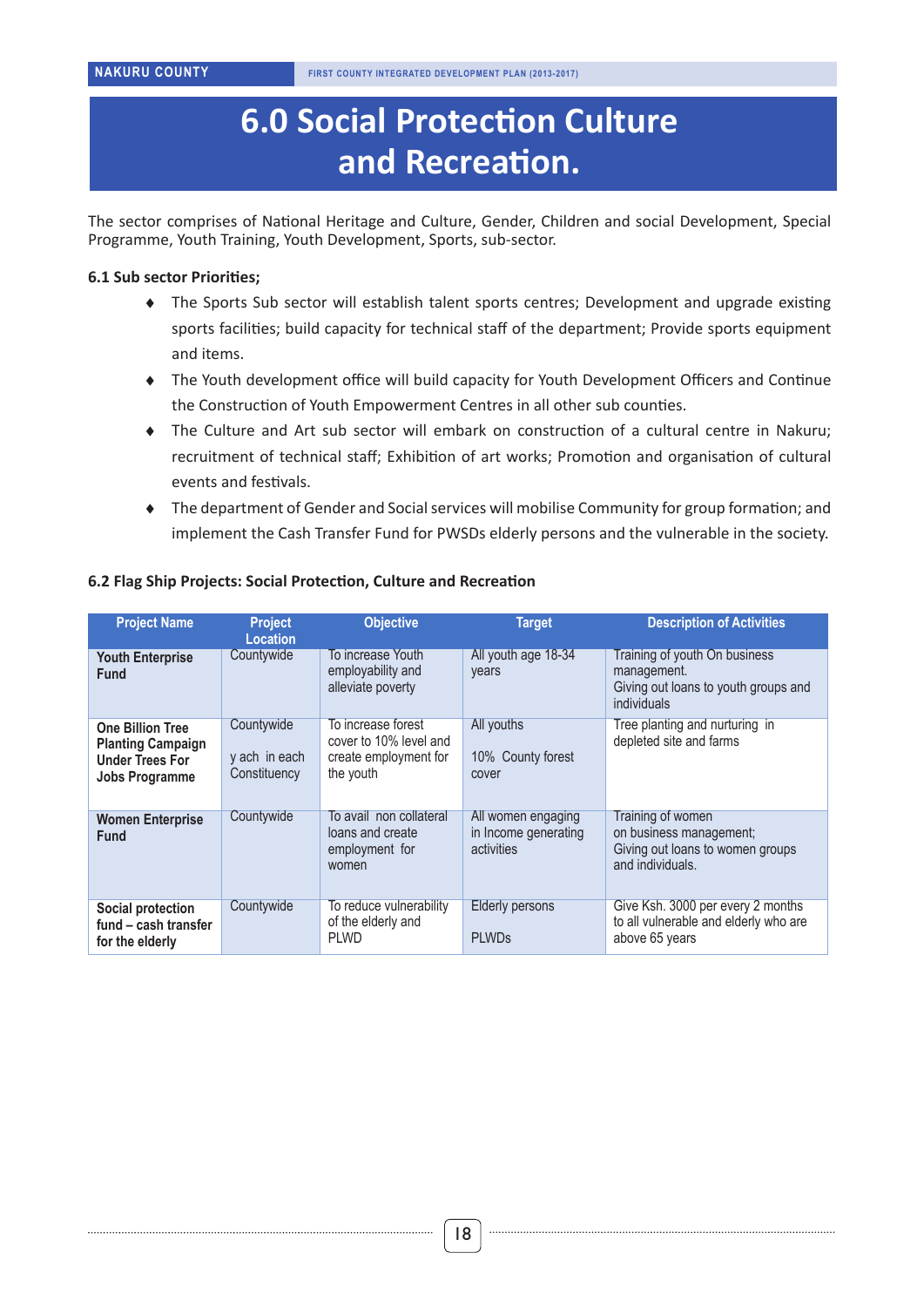## **6.0 Social Protection Culture and Recreation.**

The sector comprises of National Heritage and Culture, Gender, Children and social Development, Special Programme, Youth Training, Youth Development, Sports, sub-sector.

#### **6.1 Sub sector Priorities;**

- ♦ The Sports Sub sector will establish talent sports centres; Development and upgrade existing sports facilities; build capacity for technical staff of the department; Provide sports equipment and items.
- ♦ The Youth development office will build capacity for Youth Development Officers and Continue the Construction of Youth Empowerment Centres in all other sub counties.
- ♦ The Culture and Art sub sector will embark on construction of a cultural centre in Nakuru; recruitment of technical staff; Exhibition of art works; Promotion and organisation of cultural events and festivals.
- The department of Gender and Social services will mobilise Community for group formation; and implement the Cash Transfer Fund for PWSDs elderly persons and the vulnerable in the society.

| <b>Project Name</b>                                                                                    | <b>Project</b><br><b>Location</b>           | <b>Objective</b>                                                                   | <b>Target</b>                                            | <b>Description of Activities</b>                                                                           |
|--------------------------------------------------------------------------------------------------------|---------------------------------------------|------------------------------------------------------------------------------------|----------------------------------------------------------|------------------------------------------------------------------------------------------------------------|
| <b>Youth Enterprise</b><br><b>Fund</b>                                                                 | Countywide                                  | To increase Youth<br>employability and<br>alleviate poverty                        | All youth age 18-34<br>years                             | Training of youth On business<br>management.<br>Giving out loans to youth groups and<br><i>individuals</i> |
| <b>One Billion Tree</b><br><b>Planting Campaign</b><br><b>Under Trees For</b><br><b>Jobs Programme</b> | Countywide<br>y ach in each<br>Constituency | To increase forest<br>cover to 10% level and<br>create employment for<br>the youth | All youths<br>10% County forest<br>cover                 | Tree planting and nurturing in<br>depleted site and farms                                                  |
| <b>Women Enterprise</b><br><b>Fund</b>                                                                 | Countywide                                  | To avail non collateral<br>loans and create<br>employment for<br>women             | All women engaging<br>in Income generating<br>activities | Training of women<br>on business management;<br>Giving out loans to women groups<br>and individuals.       |
| Social protection<br>fund - cash transfer<br>for the elderly                                           | Countywide                                  | To reduce vulnerability<br>of the elderly and<br>PI WD                             | <b>Elderly persons</b><br><b>PLWDs</b>                   | Give Ksh. 3000 per every 2 months<br>to all vulnerable and elderly who are<br>above 65 years               |

#### **6.2 Flag Ship Projects: Social Protection, Culture and Recreation**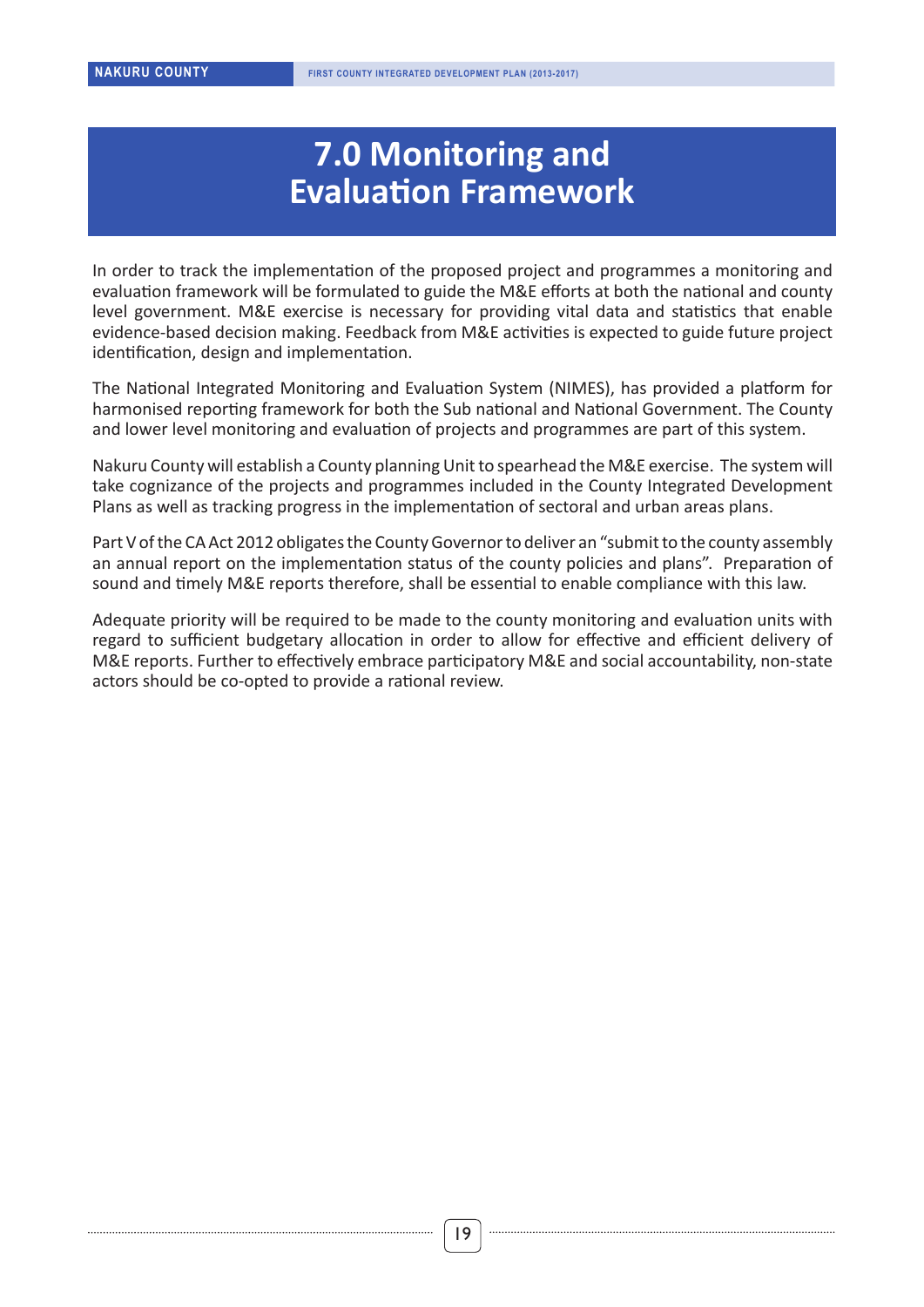## **7.0 Monitoring and Evaluation Framework**

In order to track the implementation of the proposed project and programmes a monitoring and evaluation framework will be formulated to guide the M&E efforts at both the national and county level government. M&E exercise is necessary for providing vital data and statistics that enable evidence-based decision making. Feedback from M&E activities is expected to guide future project identification, design and implementation.

The National Integrated Monitoring and Evaluation System (NIMES), has provided a platform for harmonised reporting framework for both the Sub national and National Government. The County and lower level monitoring and evaluation of projects and programmes are part of this system.

Nakuru County will establish a County planning Unit to spearhead the M&E exercise. The system will take cognizance of the projects and programmes included in the County Integrated Development Plans as well as tracking progress in the implementation of sectoral and urban areas plans.

Part V of the CA Act 2012 obligates the County Governor to deliver an "submit to the county assembly an annual report on the implementation status of the county policies and plans". Preparation of sound and timely M&E reports therefore, shall be essential to enable compliance with this law.

Adequate priority will be required to be made to the county monitoring and evaluation units with regard to sufficient budgetary allocation in order to allow for effective and efficient delivery of M&E reports. Further to effectively embrace participatory M&E and social accountability, non-state actors should be co-opted to provide a rational review.